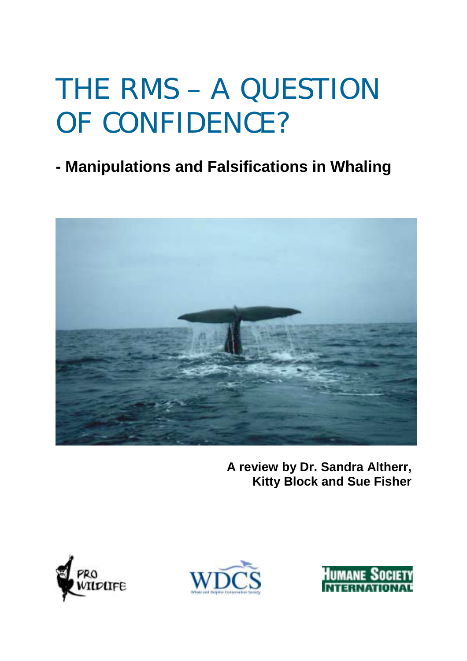# THE RMS – A QUESTION OF CONFIDENCE?

## **- Manipulations and Falsifications in Whaling**



**A review by Dr. Sandra Altherr, Kitty Block and Sue Fisher** 





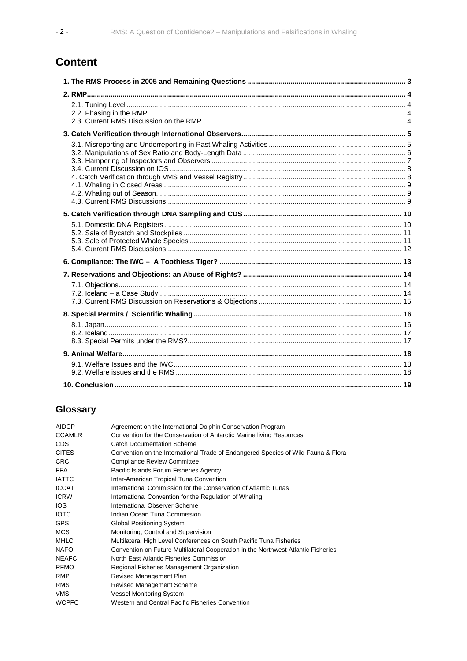## **Content**

## **Glossary**

| AIDCP         | Agreement on the International Dolphin Conservation Program                       |
|---------------|-----------------------------------------------------------------------------------|
| <b>CCAMLR</b> | Convention for the Conservation of Antarctic Marine living Resources              |
| <b>CDS</b>    | <b>Catch Documentation Scheme</b>                                                 |
| <b>CITES</b>  | Convention on the International Trade of Endangered Species of Wild Fauna & Flora |
| <b>CRC</b>    | <b>Compliance Review Committee</b>                                                |
| <b>FFA</b>    | Pacific Islands Forum Fisheries Agency                                            |
| <b>IATTC</b>  | Inter-American Tropical Tuna Convention                                           |
| <b>ICCAT</b>  | International Commission for the Conservation of Atlantic Tunas                   |
| <b>ICRW</b>   | International Convention for the Regulation of Whaling                            |
| <b>IOS</b>    | International Observer Scheme                                                     |
| <b>IOTC</b>   | Indian Ocean Tuna Commission                                                      |
| GPS           | <b>Global Positioning System</b>                                                  |
| <b>MCS</b>    | Monitoring, Control and Supervision                                               |
| <b>MHLC</b>   | Multilateral High Level Conferences on South Pacific Tuna Fisheries               |
| NAFO          | Convention on Future Multilateral Cooperation in the Northwest Atlantic Fisheries |
| <b>NEAFC</b>  | North East Atlantic Fisheries Commission                                          |
| <b>RFMO</b>   | Regional Fisheries Management Organization                                        |
| <b>RMP</b>    | Revised Management Plan                                                           |
| <b>RMS</b>    | <b>Revised Management Scheme</b>                                                  |
| VMS           | <b>Vessel Monitoring System</b>                                                   |
| <b>WCPFC</b>  | Western and Central Pacific Fisheries Convention                                  |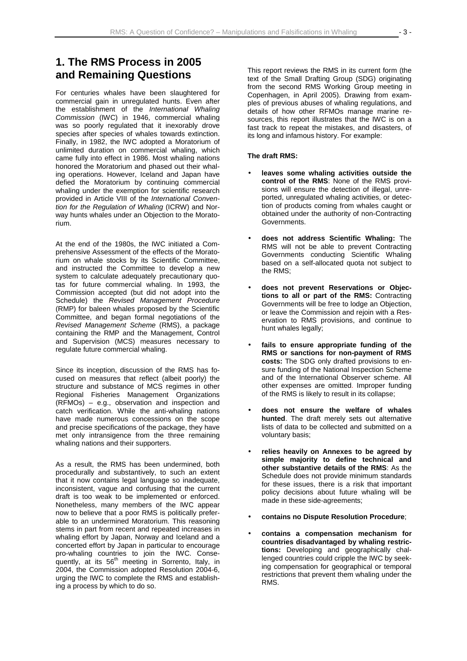## **1. The RMS Process in 2005 and Remaining Questions**

For centuries whales have been slaughtered for commercial gain in unregulated hunts. Even after the establishment of the *International Whaling Commission* (IWC) in 1946, commercial whaling was so poorly regulated that it inexorably drove species after species of whales towards extinction. Finally, in 1982, the IWC adopted a Moratorium of unlimited duration on commercial whaling, which came fully into effect in 1986. Most whaling nations honored the Moratorium and phased out their whaling operations. However, Iceland and Japan have defied the Moratorium by continuing commercial whaling under the exemption for scientific research provided in Article VIII of the *International Convention for the Regulation of Whaling* (ICRW) and Norway hunts whales under an Objection to the Moratorium.

At the end of the 1980s, the IWC initiated a Comprehensive Assessment of the effects of the Moratorium on whale stocks by its Scientific Committee, and instructed the Committee to develop a new system to calculate adequately precautionary quotas for future commercial whaling. In 1993, the Commission accepted (but did not adopt into the Schedule) the *Revised Management Procedure* (RMP) for baleen whales proposed by the Scientific Committee, and began formal negotiations of the *Revised Management Scheme* (RMS), a package containing the RMP and the Management, Control and Supervision (MCS) measures necessary to regulate future commercial whaling.

Since its inception, discussion of the RMS has focused on measures that reflect (albeit poorly) the structure and substance of MCS regimes in other Regional Fisheries Management Organizations (RFMOs) – e.g., observation and inspection and catch verification. While the anti-whaling nations have made numerous concessions on the scope and precise specifications of the package, they have met only intransigence from the three remaining whaling nations and their supporters.

As a result, the RMS has been undermined, both procedurally and substantively, to such an extent that it now contains legal language so inadequate, inconsistent, vague and confusing that the current draft is too weak to be implemented or enforced. Nonetheless, many members of the IWC appear now to believe that a poor RMS is politically preferable to an undermined Moratorium. This reasoning stems in part from recent and repeated increases in whaling effort by Japan, Norway and Iceland and a concerted effort by Japan in particular to encourage pro-whaling countries to join the IWC. Consequently, at its 56<sup>th</sup> meeting in Sorrento, Italy, in 2004, the Commission adopted Resolution 2004-6, urging the IWC to complete the RMS and establishing a process by which to do so.

This report reviews the RMS in its current form (the text of the Small Drafting Group (SDG) originating from the second RMS Working Group meeting in Copenhagen, in April 2005). Drawing from examples of previous abuses of whaling regulations, and details of how other RFMOs manage marine resources, this report illustrates that the IWC is on a fast track to repeat the mistakes, and disasters, of its long and infamous history. For example:

#### **The draft RMS:**

- **leaves some whaling activities outside the control of the RMS**: None of the RMS provisions will ensure the detection of illegal, unreported, unregulated whaling activities, or detection of products coming from whales caught or obtained under the authority of non-Contracting Governments.
- **does not address Scientific Whaling:** The RMS will not be able to prevent Contracting Governments conducting Scientific Whaling based on a self-allocated quota not subject to the RMS;
- **does not prevent Reservations or Objections to all or part of the RMS:** Contracting Governments will be free to lodge an Objection, or leave the Commission and rejoin with a Reservation to RMS provisions, and continue to hunt whales legally;
- **fails to ensure appropriate funding of the RMS or sanctions for non-payment of RMS costs:** The SDG only drafted provisions to ensure funding of the National Inspection Scheme and of the International Observer scheme. All other expenses are omitted. Improper funding of the RMS is likely to result in its collapse;
- **does not ensure the welfare of whales hunted**. The draft merely sets out alternative lists of data to be collected and submitted on a voluntary basis;
- **relies heavily on Annexes to be agreed by simple majority to define technical and other substantive details of the RMS**: As the Schedule does not provide minimum standards for these issues, there is a risk that important policy decisions about future whaling will be made in these side-agreements;
- **contains no Dispute Resolution Procedure**;
- **contains a compensation mechanism for countries disadvantaged by whaling restrictions:** Developing and geographically challenged countries could cripple the IWC by seeking compensation for geographical or temporal restrictions that prevent them whaling under the RMS.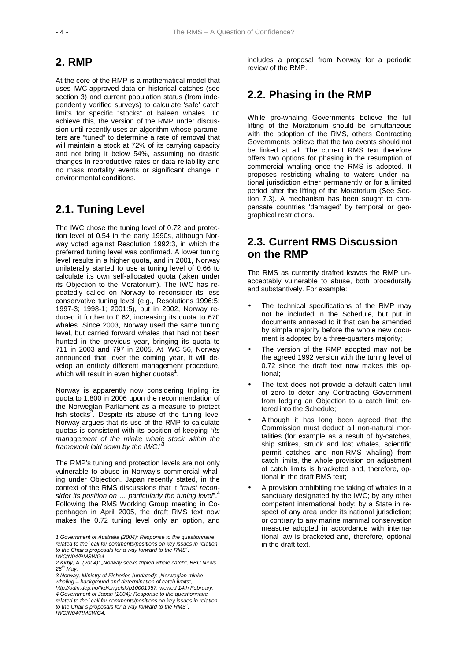## **2. RMP**

At the core of the RMP is a mathematical model that uses IWC-approved data on historical catches (see section 3) and current population status (from independently verified surveys) to calculate 'safe' catch limits for specific "stocks" of baleen whales. To achieve this, the version of the RMP under discussion until recently uses an algorithm whose parameters are "tuned" to determine a rate of removal that will maintain a stock at 72% of its carrying capacity and not bring it below 54%, assuming no drastic changes in reproductive rates or data reliability and no mass mortality events or significant change in environmental conditions.

## **2.1. Tuning Level**

The IWC chose the tuning level of 0.72 and protection level of 0.54 in the early 1990s, although Norway voted against Resolution 1992:3, in which the preferred tuning level was confirmed. A lower tuning level results in a higher quota, and in 2001, Norway unilaterally started to use a tuning level of 0.66 to calculate its own self-allocated quota (taken under its Objection to the Moratorium). The IWC has repeatedly called on Norway to reconsider its less conservative tuning level (e.g., Resolutions 1996:5; 1997-3; 1998-1; 2001:5), but in 2002, Norway reduced it further to 0.62, increasing its quota to 670 whales. Since 2003, Norway used the same tuning level, but carried forward whales that had not been hunted in the previous year, bringing its quota to 711 in 2003 and 797 in 2005. At IWC 56, Norway announced that, over the coming year, it will develop an entirely different management procedure, which will result in even higher quotas $^1$ .

Norway is apparently now considering tripling its quota to 1,800 in 2006 upon the recommendation of the Norwegian Parliament as a measure to protect fish stocks<sup>2</sup>. Despite its abuse of the tuning level Norway argues that its use of the RMP to calculate quotas is consistent with its position of keeping "*its management of the minke whale stock within the framework laid down by the IWC*."3

The RMP's tuning and protection levels are not only vulnerable to abuse in Norway's commercial whaling under Objection. Japan recently stated, in the context of the RMS discussions that it "*must recon*sider its position on ... particularly the tuning level".<sup>4</sup> Following the RMS Working Group meeting in Copenhagen in April 2005, the draft RMS text now makes the 0.72 tuning level only an option, and

l

*3 Norway, Ministry of Fisheries (undated): "Norwegian minke whaling – background and determination of catch limits", http://odin.dep.no/fkd/engelsk/p10001957, viewed 14th February. 4 Government of Japan (2004): Response to the questionnaire related to the `call for comments/positions on key issues in relation to the Chair's proposals for a way forward to the RMS´. IWC/N04/RMSWG4.* 

includes a proposal from Norway for a periodic review of the RMP.

## **2.2. Phasing in the RMP**

While pro-whaling Governments believe the full lifting of the Moratorium should be simultaneous with the adoption of the RMS, others Contracting Governments believe that the two events should not be linked at all. The current RMS text therefore offers two options for phasing in the resumption of commercial whaling once the RMS is adopted. It proposes restricting whaling to waters under national jurisdiction either permanently or for a limited period after the lifting of the Moratorium (See Section 7.3). A mechanism has been sought to compensate countries 'damaged' by temporal or geographical restrictions.

## **2.3. Current RMS Discussion on the RMP**

The RMS as currently drafted leaves the RMP unacceptably vulnerable to abuse, both procedurally and substantively. For example:

- The technical specifications of the RMP may not be included in the Schedule, but put in documents annexed to it that can be amended by simple majority before the whole new document is adopted by a three-quarters majority;
- The version of the RMP adopted may not be the agreed 1992 version with the tuning level of 0.72 since the draft text now makes this optional;
- The text does not provide a default catch limit of zero to deter any Contracting Government from lodging an Objection to a catch limit entered into the Schedule;
- Although it has long been agreed that the Commission must deduct all non-natural mortalities (for example as a result of by-catches, ship strikes, struck and lost whales, scientific permit catches and non-RMS whaling) from catch limits, the whole provision on adjustment of catch limits is bracketed and, therefore, optional in the draft RMS text;
- A provision prohibiting the taking of whales in a sanctuary designated by the IWC; by any other competent international body; by a State in respect of any area under its national jurisdiction; or contrary to any marine mammal conservation measure adopted in accordance with international law is bracketed and, therefore, optional in the draft text.

*<sup>1</sup> Government of Australia (2004): Response to the questionnaire related to the `call for comments/positions on key issues in relation to the Chair's proposals for a way forward to the RMS´. IWC/N04/RMSWG4* 

*<sup>2</sup> Kirby, A. (2004): "Norway seeks tripled whale catch", BBC News 28th May.*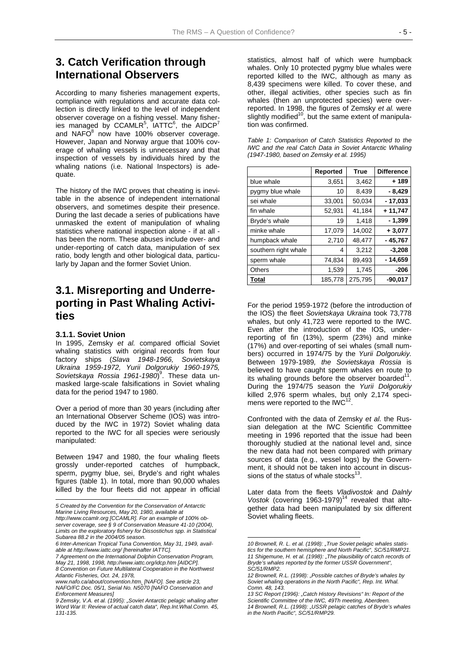## **3. Catch Verification through International Observers**

According to many fisheries management experts, compliance with regulations and accurate data collection is directly linked to the level of independent observer coverage on a fishing vessel. Many fisheries managed by  ${\sf CCAMLR}^5,$   ${\sf IATTC}^6,$  the  ${\sf AIDCP}^7$ and NAFO $^8$  now have 100% observer coverage. However, Japan and Norway argue that 100% coverage of whaling vessels is unnecessary and that inspection of vessels by individuals hired by the whaling nations (i.e. National Inspectors) is adequate.

The history of the IWC proves that cheating is inevitable in the absence of independent international observers, and sometimes despite their presence. During the last decade a series of publications have unmasked the extent of manipulation of whaling statistics where national inspection alone - if at all has been the norm. These abuses include over- and under-reporting of catch data, manipulation of sex ratio, body length and other biological data, particularly by Japan and the former Soviet Union.

## **3.1. Misreporting and Underreporting in Past Whaling Activities**

#### **3.1.1. Soviet Union**

 $\overline{a}$ 

In 1995, Zemsky *et al.* compared official Soviet whaling statistics with original records from four factory ships (*Slava 1948-1966, Sovietskaya Ukraina 1959-1972, Yurii Dolgorukiy 1960-1975,*  Sovietskaya Rossia 1961-1980)<sup>9</sup>. These data unmasked large-scale falsifications in Soviet whaling data for the period 1947 to 1980.

Over a period of more than 30 years (including after an International Observer Scheme (IOS) was introduced by the IWC in 1972) Soviet whaling data reported to the IWC for all species were seriously manipulated:

Between 1947 and 1980, the four whaling fleets grossly under-reported catches of humpback, sperm, pygmy blue, sei, Bryde's and right whales figures (table 1). In total, more than 90,000 whales killed by the four fleets did not appear in official statistics, almost half of which were humpback whales. Only 10 protected pygmy blue whales were reported killed to the IWC, although as many as 8,439 specimens were killed. To cover these, and other, illegal activities, other species such as fin whales (then an unprotected species) were overreported. In 1998, the figures of Zemsky *et al.* were slightly modified<sup>10</sup>, but the same extent of manipulation was confirmed.

|                      | <b>Reported</b> | <b>True</b> | <b>Difference</b> |
|----------------------|-----------------|-------------|-------------------|
| blue whale           | 3,651           | 3,462       | $+189$            |
| pygmy blue whale     | 10              | 8,439       | $-8,429$          |
| sei whale            | 33,001          | 50.034      | $-17,033$         |
| fin whale            | 52,931          | 41,184      | $+11,747$         |
| Bryde's whale        | 19              | 1.418       | $-1,399$          |
| minke whale          | 17,079          | 14.002      | $+3,077$          |
| humpback whale       | 2,710           | 48,477      | $-45,767$         |
| southern right whale | 4               | 3,212       | $-3,208$          |
| sperm whale          | 74,834          | 89,493      | - 14,659          |
| Others               | 1,539           | 1.745       | $-206$            |
| <b>Total</b>         | 185,778         | 275,795     | $-90,017$         |

|                                          | Table 1: Comparison of Catch Statistics Reported to the |
|------------------------------------------|---------------------------------------------------------|
|                                          | IWC and the real Catch Data in Soviet Antarctic Whaling |
| (1947-1980, based on Zemsky et al. 1995) |                                                         |

For the period 1959-1972 (before the introduction of the IOS) the fleet *Sovietskaya Ukraina* took 73,778 whales, but only 41,723 were reported to the IWC. Even after the introduction of the IOS, underreporting of fin (13%), sperm (23%) and minke (17%) and over-reporting of sei whales (small numbers) occurred in 1974/75 by the *Yurii Dolgorukiy.*  Between 1979-1989*, the Sovietskaya Rossia* is believed to have caught sperm whales en route to its whaling grounds before the observer boarded $11$ . During the 1974/75 season the *Yurii Dolgorukiy* killed 2,976 sperm whales, but only 2,174 specimens were reported to the IWC<sup>12</sup>

Confronted with the data of Zemsky *et al.* the Russian delegation at the IWC Scientific Committee meeting in 1996 reported that the issue had been thoroughly studied at the national level and, since the new data had not been compared with primary sources of data (e.g., vessel logs) by the Government, it should not be taken into account in discussions of the status of whale stocks $<sup>1</sup>$ </sup>

Later data from the fleets *Vladivostok* and *Dalnly*  Vostok (covering  $1963-1979$ )<sup>14</sup> revealed that altogether data had been manipulated by six different Soviet whaling fleets.

*<sup>5</sup> Created by the Convention for the Conservation of Antarctic Marine Living Resources, May 20, 1980, available at* 

*http://www.ccamlr.org [CCAMLR]. For an example of 100% observer coverage, see § 9 of Conservation Measure 41-10 (2004), Limits on the exploratory fishery for Dissostichus spp. in Statistical Subarea 88.2 in the 2004/05 season.* 

*<sup>6</sup> Inter-American Tropical Tuna Convention, May 31, 1949, available at http://www.iattc.org/ [hereinafter IATTC].* 

*<sup>7</sup> Agreement on the International Dolphin Conservation Program, May 21, 1998, 1998, http://www.iattc.org/idcp.htm [AIDCP]. 8 Convention on Future Multilateral Cooperation in the Northwest Atlantic Fisheries, Oct. 24, 1978,* 

*www.nafo.ca/about/convention.htm. [NAFO]. See article 23, NAFO/FC Doc. 05/1, Serial No. N5070 [NAFO Conservation and Enforcement Measures]* 

*<sup>9</sup> Zemsky, V.A. et al. (1995): "Soviet Antarctic pelagic whaling after Word War II: Review of actual catch data", Rep.Int.Whal.Comn. 45, 131-135.* 

<sup>10</sup> Brownell, R. L. et al. (1998): "True Soviet pelagic whales statis*tics for the southern hemisphere and North Pacific", SC/51/RMP21. 11 Shigemune, H. et al. (1998): "The plausibility of catch records of Bryde's whales reported by the former USSR Government", SC/51/RMP2.* 

*<sup>12</sup> Brownell, R.L. (1998): "Possible catches of Bryde's whales by Soviet whaling operations in the North Pacific", Rep. Int. Whal. Comn. 48, 143.* 

<sup>13</sup> SC Report (1996): "Catch History Revisions" In: Report of the *Scientific Committee of the IWC, 49Th meeting, Aberdeen. 14 Brownell, R.L. (1998): "USSR pelagic catches of Bryde's whales in the North Pacific", SC/51/RMP29.*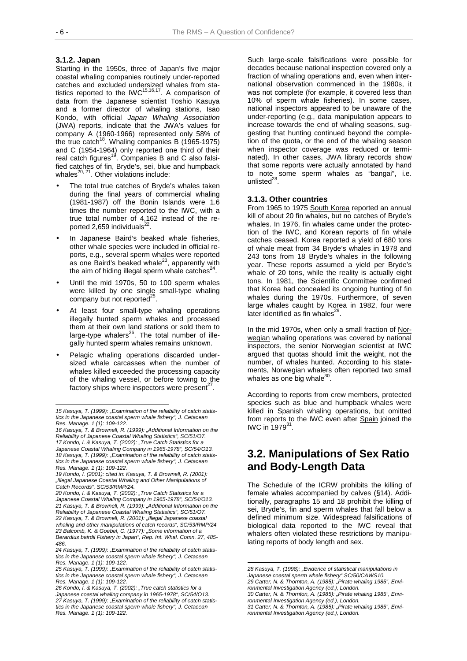#### **3.1.2. Japan**

Starting in the 1950s, three of Japan's five major coastal whaling companies routinely under-reported catches and excluded undersized whales from statistics reported to the IWC<sup>15,16,17</sup>. A comparison of data from the Japanese scientist Toshio Kasuya and a former director of whaling stations, Isao Kondo, with official *Japan Whaling Association* (JWA) reports, indicate that the JWA's values for company A (1960-1966) represented only 58% of the true catch<sup>18</sup>. Whaling companies B (1965-1975) and C (1954-1964) only reported one third of their real catch figures<sup>19</sup>. Companies B and C also falsified catches of fin, Bryde's, sei, blue and humpback whales $^{20, 21}$ . Other violations include:

- The total true catches of Bryde's whales taken during the final years of commercial whaling (1981-1987) off the Bonin Islands were 1.6 times the number reported to the IWC, with a true total number of 4,162 instead of the reported 2,659 individuals<sup>2</sup>
- In Japanese Baird's beaked whale fisheries, other whale species were included in official reports, e.g., several sperm whales were reported as one Baird's beaked whale $23$ , apparently with the aim of hiding illegal sperm whale catches $^{24}$ .
- Until the mid 1970s, 50 to 100 sperm whales were killed by one single small-type whaling company but not reported $^{25}$ .
- At least four small-type whaling operations illegally hunted sperm whales and processed them at their own land stations or sold them to large-type whalers $^{26}$ . The total number of illegally hunted sperm whales remains unknown.
- Pelagic whaling operations discarded undersized whale carcasses when the number of whales killed exceeded the processing capacity of the whaling vessel, or before towing to the factory ships where inspectors were present $27$

Such large-scale falsifications were possible for decades because national inspection covered only a fraction of whaling operations and, even when international observation commenced in the 1980s, it was not complete (for example, it covered less than 10% of sperm whale fisheries). In some cases, national inspectors appeared to be unaware of the under-reporting (e.g., data manipulation appears to increase towards the end of whaling seasons, suggesting that hunting continued beyond the completion of the quota, or the end of the whaling season when inspector coverage was reduced or terminated). In other cases, JWA library records show that some reports were actually annotated by hand to note some sperm whales as "bangai", i.e. unlisted $^{28}$ 

#### **3.1.3. Other countries**

From 1965 to 1975 South Korea reported an annual kill of about 20 fin whales, but no catches of Bryde's whales. In 1976, fin whales came under the protection of the IWC, and Korean reports of fin whale catches ceased. Korea reported a yield of 680 tons of whale meat from 34 Bryde's whales in 1978 and 243 tons from 18 Bryde's whales in the following year. These reports assumed a yield per Bryde's whale of 20 tons, while the reality is actually eight tons. In 1981, the Scientific Committee confirmed that Korea had concealed its ongoing hunting of fin whales during the 1970s. Furthermore, of seven large whales caught by Korea in 1982, four were later identified as fin whales $^{29}$ .

In the mid 1970s, when only a small fraction of Norwegian whaling operations was covered by national inspectors, the senior Norwegian scientist at IWC argued that quotas should limit the weight, not the number, of whales hunted. According to his statements, Norwegian whalers often reported two small whales as one big whale $^{30}$ .

According to reports from crew members, protected species such as blue and humpback whales were killed in Spanish whaling operations, but omitted from reports to the IWC even after Spain joined the IWC in 1979<sup>31</sup>.

## **3.2. Manipulations of Sex Ratio and Body-Length Data**

The Schedule of the ICRW prohibits the killing of female whales accompanied by calves (§14). Additionally, paragraphs 15 and 18 prohibit the killing of sei, Bryde's, fin and sperm whales that fall below a defined minimum size. Widespread falsifications of biological data reported to the IWC reveal that whalers often violated these restrictions by manipulating reports of body length and sex.

l

*<sup>15</sup> Kasuya, T. (1999): "Examination of the reliability of catch statistics in the Japanese coastal sperm whale fishery", J. Cetacean Res. Manage. 1 (1): 109-122.* 

*<sup>16</sup> Kasuya, T. & Brownell, R. (1999): "Additional Information on the Reliability of Japanese Coastal Whaling Statistics", SC/51/O7. 17 Kondo, I. & Kasuya, T. (2002): "True Catch Statistics for a Japanese Coastal Whaling Company in 1965-1978", SC/54/O13. 18 Kasuya, T. (1999): "Examination of the reliability of catch statistics in the Japanese coastal sperm whale fishery", J. Cetacean Res. Manage. 1 (1): 109-122.* 

*<sup>19</sup> Kondo, I. (2001): cited in: Kasuya, T. & Brownell, R. (2001): "Illegal Japanese Coastal Whaling and Other Manipulations of Catch Records", SC/53/RMP/24.* 

*<sup>20</sup> Kondo, I. & Kasuya, T. (2002): "True Catch Statistics for a Japanese Coastal Whaling Company in 1965-1978", SC/54/O13. 21 Kasuya, T. & Brownell, R. (1999): "Additional Information on the Reliability of Japanese Coastal Whaling Statistics", SC/51/O7. 22 Kasuya, T. & Brownell, R. (2001): "Illegal Japanese coastal whaling and other manipulations of catch records", SC/53/RMP/24 23 Balcomb, K. & Goebel, C. (1977): "Some information of a Berardius bairdii Fishery in Japan", Rep. Int. Whal. Comn. 27, 485- 486.* 

<sup>24</sup> Kasuya, T. (1999): "Examination of the reliability of catch statis*tics in the Japanese coastal sperm whale fishery", J. Cetacean Res. Manage. 1 (1): 109-122.* 

*<sup>25</sup> Kasuya, T. (1999): "Examination of the reliability of catch statistics in the Japanese coastal sperm whale fishery", J. Cetacean Res. Manage. 1 (1): 109-122.* 

*<sup>26</sup> Kondo, I. & Kasuya, T. (2002): "True catch statistics for a Japanese coastal whaling company in 1965-1978", SC/54/O13.*  27 Kasuya, T. (1999): "Examination of the reliability of catch statis*tics in the Japanese coastal sperm whale fishery", J. Cetacean Res. Manage. 1 (1): 109-122.* 

*<sup>28</sup> Kasuya, T. (1998): "Evidence of statistical manipulations in Japanese coastal sperm whale fishery",SC/50/CAWS10. 29 Carter, N. & Thornton, A. (1985): "Pirate whaling 1985", Environmental Investigation Agency (ed.), London.* 

*<sup>30</sup> Carter, N. & Thornton, A. (1985): "Pirate whaling 1985", Environmental Investigation Agency (ed.), London.* 

*<sup>31</sup> Carter, N. & Thornton, A. (1985): "Pirate whaling 1985", Environmental Investigation Agency (ed.), London.*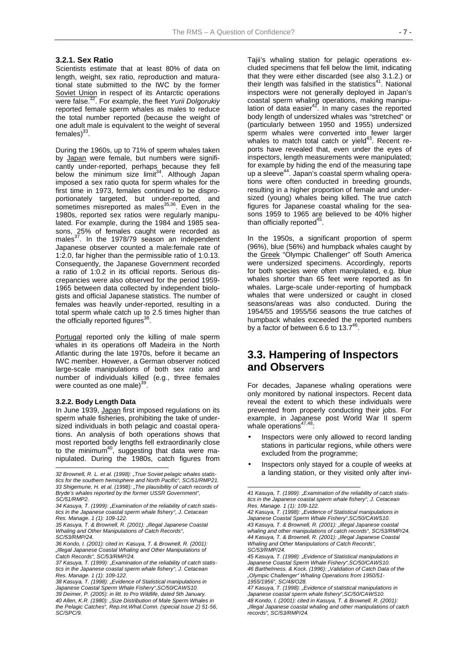#### **3.2.1. Sex Ratio**

Scientists estimate that at least 80% of data on length, weight, sex ratio, reproduction and maturational state submitted to the IWC by the former Soviet Union in respect of its Antarctic operations were false.32. For example, the fleet *Yurii Dolgorukiy* reported female sperm whales as males to reduce the total number reported (because the weight of one adult male is equivalent to the weight of several females $)^{33}$ .

During the 1960s, up to 71% of sperm whales taken by Japan were female, but numbers were significantly under-reported, perhaps because they fell below the minimum size limit $34$ . Although Japan imposed a sex ratio quota for sperm whales for the first time in 1973, females continued to be disproportionately targeted, but under-reported, and sometimes misreported as males<sup>35,36</sup>. Even in the 1980s, reported sex ratios were regularly manipulated. For example, during the 1984 and 1985 seasons, 25% of females caught were recorded as males $^{37}$ . In the 1978/79 season an independent Japanese observer counted a male:female rate of 1:2.0, far higher than the permissible ratio of 1:0.13. Consequently, the Japanese Government recorded a ratio of 1:0.2 in its official reports. Serious discrepancies were also observed for the period 1959- 1965 between data collected by independent biologists and official Japanese statistics. The number of females was heavily under-reported, resulting in a total sperm whale catch up to 2.5 times higher than the officially reported figures<sup>38</sup>.

Portugal reported only the killing of male sperm whales in its operations off Madeira in the North Atlantic during the late 1970s, before it became an IWC member. However, a German observer noticed large-scale manipulations of both sex ratio and number of individuals killed (e.g., three females were counted as one male) $39$ 

#### **3.2.2. Body Length Data**

In June 1939, Japan first imposed regulations on its sperm whale fisheries, prohibiting the take of undersized individuals in both pelagic and coastal operations. An analysis of both operations shows that most reported body lengths fell extraordinarily close to the minimum<sup>40</sup>, suggesting that data were manipulated. During the 1980s, catch figures from l

Tajii's whaling station for pelagic operations excluded specimens that fell below the limit, indicating that they were either discarded (see also 3.1.2.) or their length was falsified in the statistics $41$ . National inspectors were not generally deployed in Japan's coastal sperm whaling operations, making manipulation of data easier<sup>42</sup>. In many cases the reported body length of undersized whales was "stretched" or (particularly between 1950 and 1955) undersized sperm whales were converted into fewer larger whales to match total catch or yield $43$ . Recent reports have revealed that, even under the eyes of inspectors, length measurements were manipulated; for example by hiding the end of the measuring tape up a sleeve<sup>44</sup>. Japan's coastal sperm whaling operations were often conducted in breeding grounds, resulting in a higher proportion of female and undersized (young) whales being killed. The true catch figures for Japanese coastal whaling for the seasons 1959 to 1965 are believed to be 40% higher than officially reported $45$ .

In the 1950s, a significant proportion of sperm (96%), blue (56%) and humpback whales caught by the Greek "Olympic Challenger" off South America were undersized specimens. Accordingly, reports for both species were often manipulated, e.g. blue whales shorter than 65 feet were reported as fin whales. Large-scale under-reporting of humpback whales that were undersized or caught in closed seasons/areas was also conducted. During the 1954/55 and 1955/56 seasons the true catches of humpback whales exceeded the reported numbers by a factor of between 6.6 to 13.7 $4<sup>4</sup>$ 

## **3.3. Hampering of Inspectors and Observers**

For decades, Japanese whaling operations were only monitored by national inspectors. Recent data reveal the extent to which these individuals were prevented from properly conducting their jobs. For example, in Japanese post World War II sperm whale operations<sup>47,48</sup>:

- Inspectors were only allowed to record landing stations in particular regions, while others were excluded from the programme;
- Inspectors only stayed for a couple of weeks at a landing station, or they visited only after invi-

l

*<sup>32</sup> Brownell, R. L. et al. (1998): "True Soviet pelagic whales statistics for the southern hemisphere and North Pacific", SC/51/RMP21. 33 Shigemune, H. et al. (1998): "The plausibility of catch records of Bryde's whales reported by the former USSR Government", SC/51/RMP2.* 

<sup>34</sup> Kasuya, T. (1999): "Examination of the reliability of catch statis*tics in the Japanese coastal sperm whale fishery", J. Cetacean Res. Manage. 1 (1): 109-122.* 

*<sup>35</sup> Kasuya, T. & Brownell, R. (2001): "Illegal Japanese Coastal Whaling and Other Manipulations of Catch Records", SC/53/RMP/24.* 

*<sup>36</sup> Kondo, I. (2001): cited in: Kasuya, T. & Brownell, R. (2001): "Illegal Japanese Coastal Whaling and Other Manipulations of Catch Records", SC/53/RMP/24.* 

<sup>37</sup> Kasuya, T. (1999): "Examination of the reliability of catch statis*tics in the Japanese coastal sperm whale fishery", J. Cetacean Res. Manage. 1 (1): 109-122.* 

<sup>38</sup> Kasuya, T. (1998): "Evidence of Statistical manipulations in *Japanese Coastal Sperm Whale Fishery",SC/50/CAWS10. 39 Deimer, P. (2005): in litt. to Pro Wildlife, dated 5th January. 40 Allen, K.R. (1980): "Size Distribution of Male Sperm Whales in the Pelagic Catches", Rep.Int.Whal.Comn. (special Issue 2) 51-56, SC/SPC/9.* 

*<sup>41</sup> Kasuya, T. (1999): "Examination of the reliability of catch statistics in the Japanese coastal sperm whale fishery", J. Cetacean Res. Manage. 1 (1): 109-122.* 

*<sup>42</sup> Kasuya, T. (1998): "Evidence of Statistical manipulations in Japanese Coastal Sperm Whale Fishery",SC/50/CAWS10. 43 Kasuya, T. & Brownell, R. (2001): "Illegal Japanese coastal whaling and other manipulations of catch records", SC/53/RMP/24. 44 Kasuya, T. & Brownell, R. (2001): "Illegal Japanese Coastal Whaling and Other Manipulations of Catch Records", SC/53/RMP/24.* 

*<sup>45</sup> Kasuya, T. (1998): "Evidence of Statistical manipulations in Japanese Coastal Sperm Whale Fishery",SC/50/CAWS10. 46 Barthelmess. & Kock. (1996): "Validation of Catch Data of the "Olympic Challenger" Whaling Operations from 1950/51- 1955/1956", SC/48/O28.* 

*<sup>47</sup> Kasuya, T. (1998): "Evidence of statistical manipulations in Japanese coastal sperm whale fishery",SC/50/CAWS10. 48 Kondo, I. (2001): cited in Kasuya, T. & Brownell, R. (2001): "Illegal Japanese coastal whaling and other manipulations of catch records", SC/53/RMP/24.*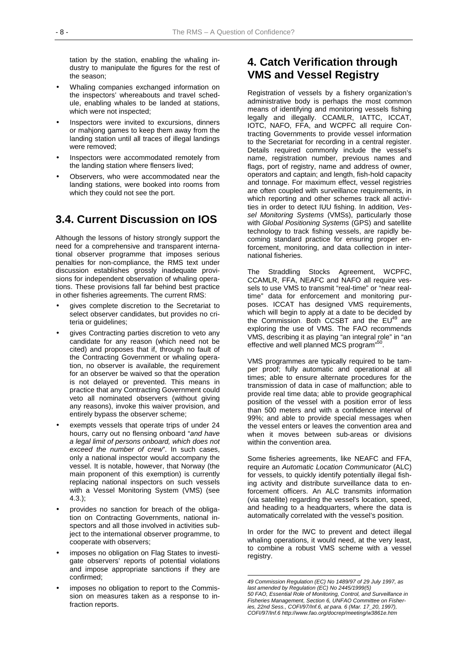tation by the station, enabling the whaling industry to manipulate the figures for the rest of the season;

- Whaling companies exchanged information on the inspectors' whereabouts and travel schedule, enabling whales to be landed at stations, which were not inspected;
- Inspectors were invited to excursions, dinners or mahjong games to keep them away from the landing station until all traces of illegal landings were removed;
- Inspectors were accommodated remotely from the landing station where flensers lived;
- Observers, who were accommodated near the landing stations, were booked into rooms from which they could not see the port.

## **3.4. Current Discussion on IOS**

Although the lessons of history strongly support the need for a comprehensive and transparent international observer programme that imposes serious penalties for non-compliance, the RMS text under discussion establishes grossly inadequate provisions for independent observation of whaling operations. These provisions fall far behind best practice in other fisheries agreements. The current RMS:

- gives complete discretion to the Secretariat to select observer candidates, but provides no criteria or guidelines;
- gives Contracting parties discretion to veto any candidate for any reason (which need not be cited) and proposes that if, through no fault of the Contracting Government or whaling operation, no observer is available, the requirement for an observer be waived so that the operation is not delayed or prevented. This means in practice that any Contracting Government could veto all nominated observers (without giving any reasons), invoke this waiver provision, and entirely bypass the observer scheme;
- exempts vessels that operate trips of under 24 hours, carry out no flensing onboard "*and have a legal limit of persons onboard, which does not exceed the number of crew*". In such cases, only a national inspector would accompany the vessel. It is notable, however, that Norway (the main proponent of this exemption) is currently replacing national inspectors on such vessels with a Vessel Monitoring System (VMS) (see 4.3.);
- provides no sanction for breach of the obligation on Contracting Governments, national inspectors and all those involved in activities subject to the international observer programme, to cooperate with observers;
- imposes no obligation on Flag States to investigate observers' reports of potential violations and impose appropriate sanctions if they are confirmed;
- imposes no obligation to report to the Commission on measures taken as a response to infraction reports.

## **4. Catch Verification through VMS and Vessel Registry**

Registration of vessels by a fishery organization's administrative body is perhaps the most common means of identifying and monitoring vessels fishing legally and illegally. CCAMLR, IATTC, ICCAT, IOTC, NAFO, FFA, and WCPFC all require Contracting Governments to provide vessel information to the Secretariat for recording in a central register. Details required commonly include the vessel's name, registration number, previous names and flags, port of registry, name and address of owner, operators and captain; and length, fish-hold capacity and tonnage. For maximum effect, vessel registries are often coupled with surveillance requirements, in which reporting and other schemes track all activities in order to detect IUU fishing. In addition, *Vessel Monitoring Systems* (VMSs), particularly those with *Global Positioning Systems* (GPS) and satellite technology to track fishing vessels, are rapidly becoming standard practice for ensuring proper enforcement, monitoring, and data collection in international fisheries.

The Straddling Stocks Agreement, WCPFC, CCAMLR, FFA, NEAFC and NAFO all require vessels to use VMS to transmit "real-time" or "near realtime" data for enforcement and monitoring purposes. ICCAT has designed VMS requirements, which will begin to apply at a date to be decided by the Commission. Both CCSBT and the  $EU^{49}$  are exploring the use of VMS. The FAO recommends VMS, describing it as playing "an integral role" in "an effective and well planned MCS program<sup>55</sup>

VMS programmes are typically required to be tamper proof; fully automatic and operational at all times; able to ensure alternate procedures for the transmission of data in case of malfunction; able to provide real time data; able to provide geographical position of the vessel with a position error of less than 500 meters and with a confidence interval of 99%; and able to provide special messages when the vessel enters or leaves the convention area and when it moves between sub-areas or divisions within the convention area.

Some fisheries agreements, like NEAFC and FFA, require an *Automatic Location Communicator* (ALC) for vessels, to quickly identify potentially illegal fishing activity and distribute surveillance data to enforcement officers. An ALC transmits information (via satellite) regarding the vessel's location, speed, and heading to a headquarters, where the data is automatically correlated with the vessel's position.

In order for the IWC to prevent and detect illegal whaling operations, it would need, at the very least, to combine a robust VMS scheme with a vessel registry.

*<sup>49</sup> Commission Regulation (EC) No 1489/97 of 29 July 1997, as last amended by Regulation (EC) No 2445/1999(5) 50 FAO, Essential Role of Monitoring, Control, and Surveillance in Fisheries Management, Section 6, UNFAO Committee on Fisheries, 22nd Sess., COFI/97/Inf.6, at para. 6 (Mar. 17\_20, 1997), COFI/97/Inf.6 http://www.fao.org/docrep/meeting/w3861e.htm*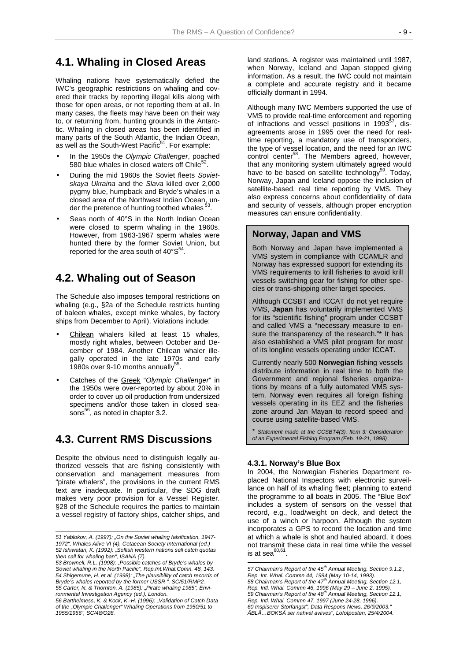## **4.1. Whaling in Closed Areas**

Whaling nations have systematically defied the IWC's geographic restrictions on whaling and covered their tracks by reporting illegal kills along with those for open areas, or not reporting them at all. In many cases, the fleets may have been on their way to, or returning from, hunting grounds in the Antarctic. Whaling in closed areas has been identified in many parts of the South Atlantic, the Indian Ocean, as well as the South-West Pacific<sup>51</sup>. For example:

- In the 1950s the *Olympic Challenger*, poached 580 blue whales in closed waters off Chile $52$ .
- During the mid 1960s the Soviet fleets *Sovietskaya Ukraina* and the *Slava* killed over 2,000 pygmy blue, humpback and Bryde's whales in a closed area of the Northwest Indian Ocean, under the pretence of hunting toothed whales<sup>3</sup>
- Seas north of 40°S in the North Indian Ocean were closed to sperm whaling in the 1960s. However, from 1963-1967 sperm whales were hunted there by the former Soviet Union, but reported for the area south of  $40^{\circ}$ S<sup>4</sup>

## **4.2. Whaling out of Season**

The Schedule also imposes temporal restrictions on whaling (e.g., §2a of the Schedule restricts hunting of baleen whales, except minke whales, by factory ships from December to April). Violations include:

- Chilean whalers killed at least 15 whales, mostly right whales, between October and December of 1984. Another Chilean whaler illegally operated in the late 1970s and early 1980s over 9-10 months annually
- Catches of the Greek "*Olympic Challenger*" in the 1950s were over-reported by about 20% in order to cover up oil production from undersized specimens and/or those taken in closed seasons<sup>56</sup>, as noted in chapter 3.2.

## **4.3. Current RMS Discussions**

Despite the obvious need to distinguish legally authorized vessels that are fishing consistently with conservation and management measures from "pirate whalers", the provisions in the current RMS text are inadequate. In particular, the SDG draft makes very poor provision for a Vessel Register. §28 of the Schedule requires the parties to maintain a vessel registry of factory ships, catcher ships, and

l

land stations. A register was maintained until 1987, when Norway, Iceland and Japan stopped giving information. As a result, the IWC could not maintain a complete and accurate registry and it became officially dormant in 1994.

Although many IWC Members supported the use of VMS to provide real-time enforcement and reporting of infractions and vessel positions in  $1993^{57}$ , disagreements arose in 1995 over the need for realtime reporting, a mandatory use of transponders, the type of vessel location, and the need for an IWC control center<sup>58</sup>. The Members agreed, however, that any monitoring system ultimately agreed would have to be based on satellite technology<sup>39</sup>. Today, Norway, Japan and Iceland oppose the inclusion of satellite-based, real time reporting by VMS. They also express concerns about confidentiality of data and security of vessels, although proper encryption measures can ensure confidentiality.

#### **Norway, Japan and VMS**

Both Norway and Japan have implemented a VMS system in compliance with CCAMLR and Norway has expressed support for extending its VMS requirements to krill fisheries to avoid krill vessels switching gear for fishing for other species or trans-shipping other target species.

Although CCSBT and ICCAT do not yet require VMS, **Japan** has voluntarily implemented VMS for its "scientific fishing" program under CCSBT and called VMS a "necessary measure to ensure the transparency of the research."\* It has also established a VMS pilot program for most of its longline vessels operating under ICCAT.

Currently nearly 500 **Norwegian** fishing vessels distribute information in real time to both the Government and regional fisheries organizations by means of a fully automated VMS system. Norway even requires all foreign fishing vessels operating in its EEZ and the fisheries zone around Jan Mayan to record speed and course using satellite-based VMS.

\* *Statement made at the CCSBT4(3), Item 3: Consideration of an Experimental Fishing Program (Feb. 19-21, 1998)*

#### **4.3.1. Norway's Blue Box**

In 2004, the Norwegian Fisheries Department replaced National Inspectors with electronic surveillance on half of its whaling fleet; planning to extend the programme to all boats in 2005. The "Blue Box" includes a system of sensors on the vessel that record, e.g., load/weight on deck, and detect the use of a winch or harpoon. Although the system incorporates a GPS to record the location and time at which a whale is shot and hauled aboard, it does not transmit these data in real time while the vessel is at sea $60,61$ 

*<sup>51</sup> Yablokov, A. (1997): "On the Soviet whaling falsification, 1947- 1972", Whales Alive VI (4), Cetacean Society International (ed.) 52 Ishiwatari, K. (1992): "Selfish western nations sell catch quotas then call for whaling ban", ISANA (7).* 

*<sup>53</sup> Brownell, R.L. (1998): "Possible catches of Bryde's whales by Soviet whaling in the North Pacific", Rep.Int.Whal.Comn. 48, 143.*  54 Shigemune, H. et al. (1998): "The plausibility of catch records of *Bryde's whales reported by the former USSR ", SC/51/RMP2. 55 Carter, N. & Thornton, A. (1985): "Pirate whaling 1985", Environmental Investigation Agency (ed.), London.* 

*<sup>56</sup> Barthelmess, K. & Kock, K.-H. (1996): "Validation of Catch Data of the "Olympic Challenger" Whaling Operations from 1950/51 to 1955/1956", SC/48/O28.* 

l 57 Chairman's Report of the 45<sup>th</sup> Annual Meeting, Section 9.1.2., *Rep. Int. Whal. Commn 44, 1994 (May 10-14, 1993). 58 Chairman's Report of the 47th Annual Meeting, Section 12.1, Rep. Intl. Whal. Commn 46, 1996 (May 29 – June 2, 1995).*  59 Chairman's Report of the 48<sup>th</sup> Annual Meeting, Section 12.1, *Rep. Intl. Whal. Commn 47, 1997 (June 24-28, 1996). 60 Inspiserer Storfangst", Data Respons News, 26/9/2003." ÂBLÃ…BOKSÂ ser nahval avlives", Lofotposten, 25/4/2004.*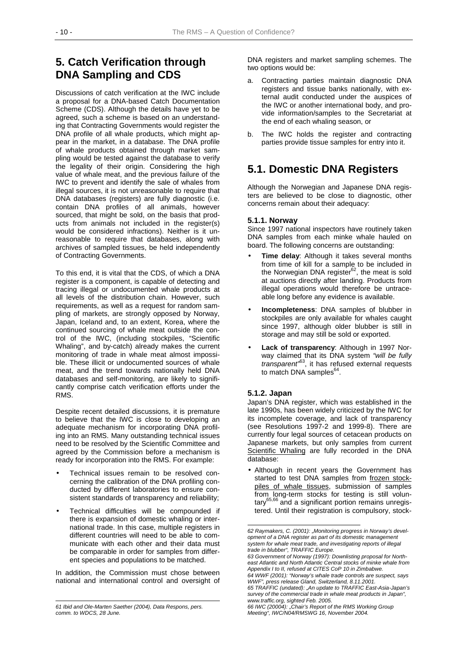## **5. Catch Verification through DNA Sampling and CDS**

Discussions of catch verification at the IWC include a proposal for a DNA-based Catch Documentation Scheme (CDS). Although the details have yet to be agreed, such a scheme is based on an understanding that Contracting Governments would register the DNA profile of all whale products, which might appear in the market, in a database. The DNA profile of whale products obtained through market sampling would be tested against the database to verify the legality of their origin. Considering the high value of whale meat, and the previous failure of the IWC to prevent and identify the sale of whales from illegal sources, it is not unreasonable to require that DNA databases (registers) are fully diagnostic (i.e. contain DNA profiles of all animals, however sourced, that might be sold, on the basis that products from animals not included in the register(s) would be considered infractions). Neither is it unreasonable to require that databases, along with archives of sampled tissues, be held independently of Contracting Governments.

To this end, it is vital that the CDS, of which a DNA register is a component, is capable of detecting and tracing illegal or undocumented whale products at all levels of the distribution chain. However, such requirements, as well as a request for random sampling of markets, are strongly opposed by Norway, Japan, Iceland and, to an extent, Korea, where the continued sourcing of whale meat outside the control of the IWC, (including stockpiles, "Scientific Whaling", and by-catch) already makes the current monitoring of trade in whale meat almost impossible. These illicit or undocumented sources of whale meat, and the trend towards nationally held DNA databases and self-monitoring, are likely to significantly comprise catch verification efforts under the RMS.

Despite recent detailed discussions, it is premature to believe that the IWC is close to developing an adequate mechanism for incorporating DNA profiling into an RMS. Many outstanding technical issues need to be resolved by the Scientific Committee and agreed by the Commission before a mechanism is ready for incorporation into the RMS. For example:

- Technical issues remain to be resolved concerning the calibration of the DNA profiling conducted by different laboratories to ensure consistent standards of transparency and reliability;
- Technical difficulties will be compounded if there is expansion of domestic whaling or international trade. In this case, multiple registers in different countries will need to be able to communicate with each other and their data must be comparable in order for samples from different species and populations to be matched.

In addition, the Commission must chose between national and international control and oversight of DNA registers and market sampling schemes. The two options would be:

- a. Contracting parties maintain diagnostic DNA registers and tissue banks nationally, with external audit conducted under the auspices of the IWC or another international body, and provide information/samples to the Secretariat at the end of each whaling season, or
- b. The IWC holds the register and contracting parties provide tissue samples for entry into it.

## **5.1. Domestic DNA Registers**

Although the Norwegian and Japanese DNA registers are believed to be close to diagnostic, other concerns remain about their adequacy:

#### **5.1.1. Norway**

Since 1997 national inspectors have routinely taken DNA samples from each minke whale hauled on board. The following concerns are outstanding:

- **Time delay:** Although it takes several months from time of kill for a sample to be included in the Norwegian DNA register<sup>62</sup>, the meat is sold at auctions directly after landing. Products from illegal operations would therefore be untraceable long before any evidence is available.
- **Incompleteness**: DNA samples of blubber in stockpiles are only available for whales caught since 1997, although older blubber is still in storage and may still be sold or exported.
- **Lack of transparency**: Although in 1997 Norway claimed that its DNA system *"will be fully transparent"*63, it has refused external requests to match DNA samples $64$ .

#### **5.1.2. Japan**

 $\overline{a}$ 

Japan's DNA register, which was established in the late 1990s, has been widely criticized by the IWC for its incomplete coverage, and lack of transparency (see Resolutions 1997-2 and 1999-8). There are currently four legal sources of cetacean products on Japanese markets, but only samples from current Scientific Whaling are fully recorded in the DNA database:

• Although in recent years the Government has started to test DNA samples from frozen stockpiles of whale tissues, submission of samples from long-term stocks for testing is still voluntary<sup>65,66</sup> and a significant portion remains unregistered. Until their registration is compulsory, stock-

l *61 Ibid and Ole-Marten Saether (2004), Data Respons, pers. comm. to WDCS, 28 June.* 

*<sup>62</sup> Raymakers, C. (2001): "Monitoring progress in Norway's development of a DNA register as part of its domestic management system for whale meat trade, and investigating reports of illegal trade in blubber", TRAFFIC Europe.* 

*<sup>63</sup> Government of Norway (1997): Downlisting proposal for Northeast Atlantic and North Atlantic Central stocks of minke whale from Appendix I to II, refused at CITES CoP 10 in Zimbabwe.* 

*<sup>64</sup> WWF (2001): "Norway's whale trade controls are suspect, says WWF", press release Gland, Switzerland, 8.11.2001.* 

*<sup>65</sup> TRAFFIC (undated): "An update to TRAFFIC East-Asia-Japan's survey of the commercial trade in whale meat products in Japan", www.traffic.org, sighted Feb. 2005.* 

*<sup>66</sup> IWC (20004): "Chair's Report of the RMS Working Group Meeting", IWC/N04/RMSWG 16, November 2004.*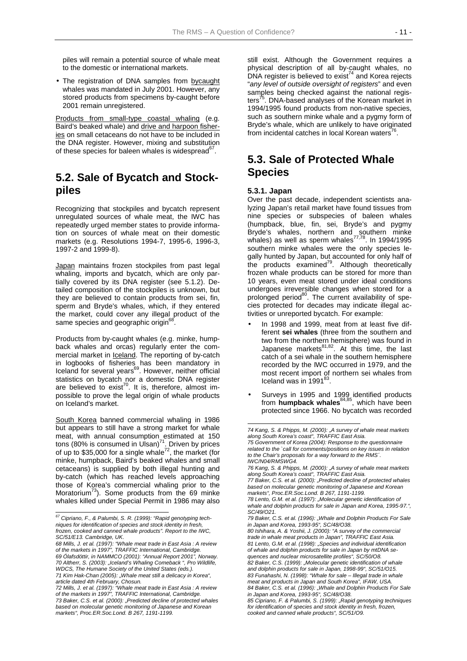piles will remain a potential source of whale meat to the domestic or international markets.

• The registration of DNA samples from bycaught whales was mandated in July 2001. However, any stored products from specimens by-caught before 2001 remain unregistered.

Products from small-type coastal whaling (e.g. Baird's beaked whale) and drive and harpoon fisheries on small cetaceans do not have to be included in the DNA register. However, mixing and substitution of these species for baleen whales is widespread<sup>o'</sup>.

## **5.2. Sale of Bycatch and Stockpiles**

Recognizing that stockpiles and bycatch represent unregulated sources of whale meat, the IWC has repeatedly urged member states to provide information on sources of whale meat on their domestic markets (e.g. Resolutions 1994-7, 1995-6, 1996-3, 1997-2 and 1999-8).

Japan maintains frozen stockpiles from past legal whaling, imports and bycatch, which are only partially covered by its DNA register (see 5.1.2). Detailed composition of the stockpiles is unknown, but they are believed to contain products from sei, fin, sperm and Bryde's whales, which, if they entered the market, could cover any illegal product of the same species and geographic origin<sup>66</sup>

Products from by-caught whales (e.g. minke, humpback whales and orcas) regularly enter the commercial market in Iceland. The reporting of by-catch in logbooks of fisheries has been mandatory in Iceland for several years<sup>69</sup>. However, neither official statistics on bycatch nor a domestic DNA register are believed to exist<sup>70</sup>. It is, therefore, almost impossible to prove the legal origin of whale products on Iceland's market.

South Korea banned commercial whaling in 1986 but appears to still have a strong market for whale meat, with annual consumption estimated at 150 tons (80% is consumed in Ulsan)<sup>71</sup>. Driven by prices of up to \$35,000 for a single whale<sup>72</sup>, the market (for minke, humpback, Baird's beaked whales and small cetaceans) is supplied by both illegal hunting and by-catch (which has reached levels approaching those of Korea's commercial whaling prior to the Moratorium<sup>73</sup>). Some products from the 69 minke whales killed under Special Permit in 1986 may also

 $\overline{a}$ 

still exist. Although the Government requires a physical description of all by-caught whales, no DNA register is believed to exist<sup>74</sup> and Korea rejects "*any level of outside oversight of registers*" and even samples being checked against the national registers<sup>75</sup>. DNA-based analyses of the Korean market in 1994/1995 found products from non-native species, such as southern minke whale and a pygmy form of Bryde's whale, which are unlikely to have originated from incidental catches in local Korean waters<sup>76</sup>

## **5.3. Sale of Protected Whale Species**

#### **5.3.1. Japan**

l

Over the past decade, independent scientists analyzing Japan's retail market have found tissues from nine species or subspecies of baleen whales (humpback, blue, fin, sei, Bryde's and pygmy Bryde's whales, northern and southern minke whales) as well as sperm whales $^{77,78}$ . In 1994/1995 southern minke whales were the only species legally hunted by Japan, but accounted for only half of the products examined<sup>79</sup>. Although theoretically frozen whale products can be stored for more than 10 years, even meat stored under ideal conditions undergoes irreversible changes when stored for a prolonged period $^{80}$ . The current availability of species protected for decades may indicate illegal activities or unreported bycatch. For example:

- In 1998 and 1999, meat from at least five different **sei whales** (three from the southern and two from the northern hemisphere) was found in Japanese markets $^{81,82}$ . At this time, the last catch of a sei whale in the southern hemisphere recorded by the IWC occurred in 1979, and the most recent import of northern sei whales from Iceland was in 1991<sup>83</sup>.
- Surveys in 1995 and 1999 identified products from **humpback whales**84,85, which have been protected since 1966. No bycatch was recorded

*<sup>67</sup> Cipriano, F., & Palumbi, S. R. (1999): "Rapid genotyping techniques for identification of species and stock identity in fresh, frozen, cooked and canned whale products". Report to the IWC, SC/51/E13. Cambridge, UK.* 

*<sup>68</sup> Mills, J. et al. (1997): "Whale meat trade in East Asia : A review of the markets in 1997", TRAFFIC International, Cambridge. 69 Ólafsdóttir, in NAMMCO (2001): "Annual Report 2001", Norway. 70 Altherr, S. (2003): "Iceland's Whaling Comeback ", Pro Wildlife, WDCS, The Humane Society of the United States (eds.). 71 Kim Hak-Chan (2005): "Whale meat still a delicacy in Korea", article dated 4th February, Chosun.* 

*<sup>72</sup> Mills, J. et al. (1997): "Whale meat trade in East Asia : A review of the markets in 1997", TRAFFIC International, Cambridge. 73 Baker, C.S. et al. (2000): "Predicted decline of protected whales based on molecular genetic monitoring of Japanese and Korean markets", Proc.ER.Soc.Lond. B 267, 1191-1199.* 

*<sup>74</sup> Kang, S. & Phipps, M. (2000): "A survey of whale meat markets along South Korea's coast", TRAFFIC East Asia.* 

*<sup>75</sup> Government of Korea (2004): Response to the questionnaire related to the `call for comments/positions on key issues in relation to the Chair's proposals for a way forward to the RMS´. IWC/N04/RMSWG4.* 

*<sup>76</sup> Kang, S. & Phipps, M. (2000): "A survey of whale meat markets along South Korea's coast", TRAFFIC East Asia.* 

*<sup>77</sup> Baker, C.S. et al. (2000): "Predicted decline of protected whales based on molecular genetic monitoring of Japanese and Korean markets", Proc.ER.Soc.Lond. B 267, 1191-1199.* 

*<sup>78</sup> Lento, G.M. et al. (1997): "Molecular genetic identification of whale and dolphin products for sale in Japan and Korea, 1995-97.", SC/49/O21.* 

*<sup>79</sup> Baker, C.S. et al. (1996): "Whale and Dolphin Products For Sale in Japan and Korea, 1993-95", SC/48/O38.* 

*<sup>80</sup> Ishihara, A. & Yoshii, J. (2000): "A survey of the commercial trade in whale meat products in Japan", TRAFFIC East Asia. 81 Lento, G.M. et al. (1998): "Species and individual identification of whale and dolphin products for sale in Japan by mtDNA sequences and nuclear microsatellite profiles", SC/50/O8. 82 Baker, C.S. (1999): "Molecular genetic identification of whale and dolphin products for sale in Japan, 1998-99", SC/51/O15.* 

*<sup>83</sup> Funahashi, N. (1998): "Whale for sale – Illegal trade in whale meat and products in Japan and South Korea", IFAW, USA. 84 Baker, C.S. et al. (1996): "Whale and Dolphin Products For Sale* 

*in Japan and Korea, 1993-95", SC/48/O38. 85 Cipriano, F. & Palumbi, S. (1999): "Rapid genotyping techniques* 

*for identification of species and stock identity in fresh, frozen, cooked and canned whale products", SC/51/O9.*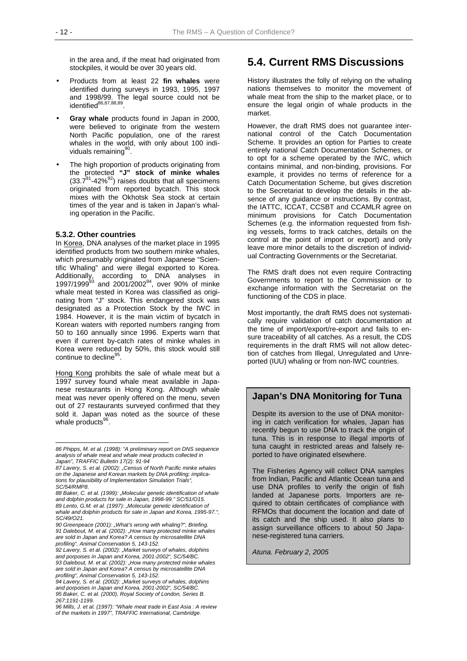in the area and, if the meat had originated from stockpiles, it would be over 30 years old.

- Products from at least 22 **fin whales** were identified during surveys in 1993, 1995, 1997 and 1998/99. The legal source could not be identified<sup>86,87,88,89</sup>.
- **Gray whale** products found in Japan in 2000, were believed to originate from the western North Pacific population, one of the rarest whales in the world, with only about 100 individuals remaining<sup>90</sup>
- The high proportion of products originating from the protected **"J" stock of minke whales**  $(33.7<sup>91</sup>-42\%/^{92})$  raises doubts that all specimens originated from reported bycatch. This stock mixes with the Okhotsk Sea stock at certain times of the year and is taken in Japan's whaling operation in the Pacific.

#### **5.3.2. Other countries**

 $\overline{a}$ 

In Korea, DNA analyses of the market place in 1995 identified products from two southern minke whales, which presumably originated from Japanese "Scientific Whaling" and were illegal exported to Korea. Additionally, according to DNA analyses in 1997/1999 $^{93}$  and 2001/2002<sup>94</sup>, over 90% of minke whale meat tested in Korea was classified as originating from "J" stock. This endangered stock was designated as a Protection Stock by the IWC in 1984. However, it is the main victim of bycatch in Korean waters with reported numbers ranging from 50 to 160 annually since 1996. Experts warn that even if current by-catch rates of minke whales in Korea were reduced by 50%, this stock would still continue to decline<sup>9</sup>

Hong Kong prohibits the sale of whale meat but a 1997 survey found whale meat available in Japanese restaurants in Hong Kong. Although whale meat was never openly offered on the menu, seven out of 27 restaurants surveyed confirmed that they sold it. Japan was noted as the source of these whale products<sup>96</sup>.

## **5.4. Current RMS Discussions**

History illustrates the folly of relying on the whaling nations themselves to monitor the movement of whale meat from the ship to the market place, or to ensure the legal origin of whale products in the market.

However, the draft RMS does not guarantee international control of the Catch Documentation Scheme. It provides an option for Parties to create entirely national Catch Documentation Schemes, or to opt for a scheme operated by the IWC, which contains minimal, and non-binding, provisions. For example, it provides no terms of reference for a Catch Documentation Scheme, but gives discretion to the Secretariat to develop the details in the absence of any guidance or instructions. By contrast, the IATTC, ICCAT, CCSBT and CCAMLR agree on minimum provisions for Catch Documentation Schemes (e.g. the information requested from fishing vessels, forms to track catches, details on the control at the point of import or export) and only leave more minor details to the discretion of individual Contracting Governments or the Secretariat.

The RMS draft does not even require Contracting Governments to report to the Commission or to exchange information with the Secretariat on the functioning of the CDS in place.

Most importantly, the draft RMS does not systematically require validation of catch documentation at the time of import/export/re-export and fails to ensure traceability of all catches. As a result, the CDS requirements in the draft RMS will not allow detection of catches from Illegal, Unregulated and Unreported (IUU) whaling or from non-IWC countries.

#### **Japan's DNA Monitoring for Tuna**

Despite its aversion to the use of DNA monitoring in catch verification for whales, Japan has recently begun to use DNA to track the origin of tuna. This is in response to illegal imports of tuna caught in restricted areas and falsely reported to have originated elsewhere.

The Fisheries Agency will collect DNA samples from Indian, Pacific and Atlantic Ocean tuna and use DNA profiles to verify the origin of fish landed at Japanese ports. Importers are required to obtain certificates of compliance with RFMOs that document the location and date of its catch and the ship used. It also plans to assign surveillance officers to about 50 Japanese-registered tuna carriers.

*Atuna. February 2, 2005* 

*<sup>86</sup> Phipps, M. et al. (1998): "A preliminary report on DNS sequence analysis of whale meat and whale meat products collected in Japan", TRAFFIC Bulletin 17(2): 91-94* 

*<sup>87</sup> Lavery, S. et al. (2002): "Census of North Pacific minke whales on the Japanese and Korean markets by DNA profiling: implications for plausibility of Implementation Simulation Trials", SC/54/RMP8.* 

*<sup>88</sup> Baker, C. et al. (1999): "Molecular genetic identification of whale and dolphin products for sale in Japan, 1998-99." SC/51/O15. 89 Lento, G.M. et al. (1997): "Molecular genetic identification of whale and dolphin products for sale in Japan and Korea, 1995-97.", SC/49/O21.* 

<sup>90</sup> Greenpeace (2001): "What's wrong with whaling?", Briefing. *91 Dalebout, M. et al. (2002): "How many protected minke whales are sold in Japan and Korea? A census by microsatellite DNA profiling", Animal Conservation 5, 143-152.* 

*<sup>92</sup> Lavery, S. et al. (2002): "Market surveys of whales, dolphins and porpoises in Japan and Korea, 2001-2002", SC/54/BC. 93 Dalebout, M. et al. (2002): "How many protected minke whales are sold in Japan and Korea? A census by microsatellite DNA profiling", Animal Conservation 5, 143-152.* 

*<sup>94</sup> Lavery, S. et al. (2002): "Market surveys of whales, dolphins and porpoises in Japan and Korea, 2001-2002", SC/54/BC. 95 Baker, C. et al. (2000), Royal Society of London, Series B. 267:1191-1199.* 

*<sup>96</sup> Mills, J. et al. (1997): "Whale meat trade in East Asia : A review of the markets in 1997", TRAFFIC International, Cambridge.*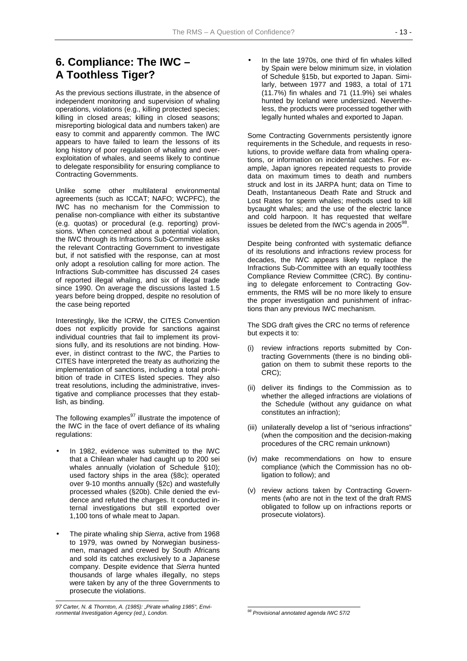## **6. Compliance: The IWC – A Toothless Tiger?**

As the previous sections illustrate, in the absence of independent monitoring and supervision of whaling operations, violations (e.g., killing protected species; killing in closed areas; killing in closed seasons; misreporting biological data and numbers taken) are easy to commit and apparently common. The IWC appears to have failed to learn the lessons of its long history of poor regulation of whaling and overexploitation of whales, and seems likely to continue to delegate responsibility for ensuring compliance to Contracting Governments.

Unlike some other multilateral environmental agreements (such as ICCAT; NAFO; WCPFC), the IWC has no mechanism for the Commission to penalise non-compliance with either its substantive (e.g. quotas) or procedural (e.g. reporting) provisions. When concerned about a potential violation, the IWC through its Infractions Sub-Committee asks the relevant Contracting Government to investigate but, if not satisfied with the response, can at most only adopt a resolution calling for more action. The Infractions Sub-committee has discussed 24 cases of reported illegal whaling, and six of illegal trade since 1990. On average the discussions lasted 1.5 years before being dropped, despite no resolution of the case being reported

Interestingly, like the ICRW, the CITES Convention does not explicitly provide for sanctions against individual countries that fail to implement its provisions fully, and its resolutions are not binding. However, in distinct contrast to the IWC, the Parties to CITES have interpreted the treaty as authorizing the implementation of sanctions, including a total prohibition of trade in CITES listed species. They also treat resolutions, including the administrative, investigative and compliance processes that they establish, as binding.

The following examples $97$  illustrate the impotence of the IWC in the face of overt defiance of its whaling regulations:

- In 1982, evidence was submitted to the IWC that a Chilean whaler had caught up to 200 sei whales annually (violation of Schedule §10); used factory ships in the area (§8c); operated over 9-10 months annually (§2c) and wastefully processed whales (§20b). Chile denied the evidence and refuted the charges. It conducted internal investigations but still exported over 1,100 tons of whale meat to Japan.
- The pirate whaling ship *Sierra*, active from 1968 to 1979, was owned by Norwegian businessmen, managed and crewed by South Africans and sold its catches exclusively to a Japanese company. Despite evidence that *Sierra* hunted thousands of large whales illegally, no steps were taken by any of the three Governments to prosecute the violations.

l

In the late 1970s, one third of fin whales killed by Spain were below minimum size, in violation of Schedule §15b, but exported to Japan. Similarly, between 1977 and 1983, a total of 171 (11.7%) fin whales and 71 (11.9%) sei whales hunted by Iceland were undersized. Nevertheless, the products were processed together with legally hunted whales and exported to Japan.

Some Contracting Governments persistently ignore requirements in the Schedule, and requests in resolutions, to provide welfare data from whaling operations, or information on incidental catches. For example, Japan ignores repeated requests to provide data on maximum times to death and numbers struck and lost in its JARPA hunt; data on Time to Death, Instantaneous Death Rate and Struck and Lost Rates for sperm whales; methods used to kill bycaught whales; and the use of the electric lance and cold harpoon. It has requested that welfare issues be deleted from the IWC's agenda in 2005 $^{98}$ .

Despite being confronted with systematic defiance of its resolutions and infractions review process for decades, the IWC appears likely to replace the Infractions Sub-Committee with an equally toothless Compliance Review Committee (CRC). By continuing to delegate enforcement to Contracting Governments, the RMS will be no more likely to ensure the proper investigation and punishment of infractions than any previous IWC mechanism.

The SDG draft gives the CRC no terms of reference but expects it to:

- (i) review infractions reports submitted by Contracting Governments (there is no binding obligation on them to submit these reports to the CRC);
- (ii) deliver its findings to the Commission as to whether the alleged infractions are violations of the Schedule (without any guidance on what constitutes an infraction);
- (iii) unilaterally develop a list of "serious infractions" (when the composition and the decision-making procedures of the CRC remain unknown)
- (iv) make recommendations on how to ensure compliance (which the Commission has no obligation to follow); and
- (v) review actions taken by Contracting Governments (who are not in the text of the draft RMS obligated to follow up on infractions reports or prosecute violators).

*<sup>97</sup> Carter, N. & Thornton, A. (1985): "Pirate whaling 1985", Environmental Investigation Agency (ed.), London.* 

 $\overline{a}$ *98 Provisional annotated agenda IWC 57/2*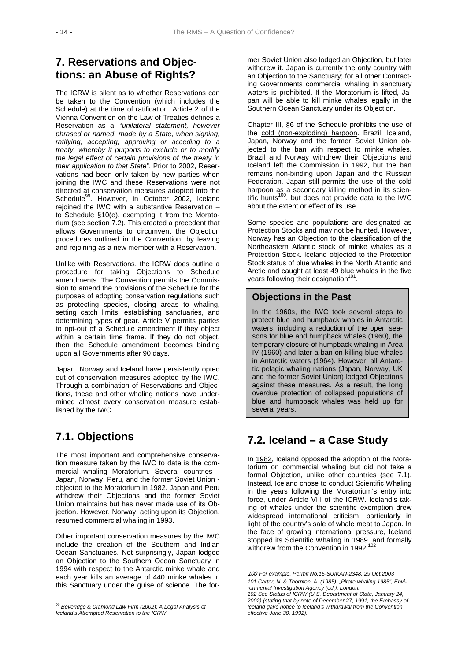## **7. Reservations and Objections: an Abuse of Rights?**

The ICRW is silent as to whether Reservations can be taken to the Convention (which includes the Schedule) at the time of ratification. Article 2 of the Vienna Convention on the Law of Treaties defines a Reservation as a "*unilateral statement, however phrased or named, made by a State, when signing, ratifying, accepting, approving or acceding to a treaty, whereby it purports to exclude or to modify the legal effect of certain provisions of the treaty in their application to that State*". Prior to 2002, Reservations had been only taken by new parties when joining the IWC and these Reservations were not directed at conservation measures adopted into the Schedule<sup>99</sup>. However, in October 2002, Iceland rejoined the IWC with a substantive Reservation – to Schedule §10(e), exempting it from the Moratorium (see section 7.2). This created a precedent that allows Governments to circumvent the Objection procedures outlined in the Convention, by leaving and rejoining as a new member with a Reservation.

Unlike with Reservations, the ICRW does outline a procedure for taking Objections to Schedule amendments. The Convention permits the Commission to amend the provisions of the Schedule for the purposes of adopting conservation regulations such as protecting species, closing areas to whaling, setting catch limits, establishing sanctuaries, and determining types of gear. Article V permits parties to opt-out of a Schedule amendment if they object within a certain time frame. If they do not object, then the Schedule amendment becomes binding upon all Governments after 90 days.

Japan, Norway and Iceland have persistently opted out of conservation measures adopted by the IWC. Through a combination of Reservations and Objections, these and other whaling nations have undermined almost every conservation measure established by the IWC.

## **7.1. Objections**

The most important and comprehensive conservation measure taken by the IWC to date is the commercial whaling Moratorium. Several countries - Japan, Norway, Peru, and the former Soviet Union objected to the Moratorium in 1982. Japan and Peru withdrew their Objections and the former Soviet Union maintains but has never made use of its Objection. However, Norway, acting upon its Objection, resumed commercial whaling in 1993.

Other important conservation measures by the IWC include the creation of the Southern and Indian Ocean Sanctuaries. Not surprisingly, Japan lodged an Objection to the Southern Ocean Sanctuary in 1994 with respect to the Antarctic minke whale and each year kills an average of 440 minke whales in this Sanctuary under the guise of science. The former Soviet Union also lodged an Objection, but later withdrew it. Japan is currently the only country with an Objection to the Sanctuary; for all other Contracting Governments commercial whaling in sanctuary waters is prohibited. If the Moratorium is lifted, Japan will be able to kill minke whales legally in the Southern Ocean Sanctuary under its Objection.

Chapter III, §6 of the Schedule prohibits the use of the cold (non-exploding) harpoon. Brazil, Iceland, Japan, Norway and the former Soviet Union objected to the ban with respect to minke whales. Brazil and Norway withdrew their Objections and Iceland left the Commission in 1992, but the ban remains non-binding upon Japan and the Russian Federation. Japan still permits the use of the cold harpoon as a secondary killing method in its scientific hunts<sup>100</sup>, but does not provide data to the IWC about the extent or effect of its use.

Some species and populations are designated as Protection Stocks and may not be hunted. However, Norway has an Objection to the classification of the Northeastern Atlantic stock of minke whales as a Protection Stock. Iceland objected to the Protection Stock status of blue whales in the North Atlantic and Arctic and caught at least 49 blue whales in the five years following their designation<sup>11</sup>

## **Objections in the Past**

In the 1960s, the IWC took several steps to protect blue and humpback whales in Antarctic waters, including a reduction of the open seasons for blue and humpback whales (1960), the temporary closure of humpback whaling in Area IV (1960) and later a ban on killing blue whales in Antarctic waters (1964). However, all Antarctic pelagic whaling nations (Japan, Norway, UK and the former Soviet Union) lodged Objections against these measures. As a result, the long overdue protection of collapsed populations of blue and humpback whales was held up for several years.

## **7.2. Iceland – a Case Study**

In 1982, Iceland opposed the adoption of the Moratorium on commercial whaling but did not take a formal Objection, unlike other countries (see 7.1). Instead, Iceland chose to conduct Scientific Whaling in the years following the Moratorium's entry into force, under Article VIII of the ICRW. Iceland's taking of whales under the scientific exemption drew widespread international criticism, particularly in light of the country's sale of whale meat to Japan. In the face of growing international pressure, Iceland stopped its Scientific Whaling in 1989, and formally withdrew from the Convention in 1992. $10$ 

l *99 Beveridge & Diamond Law Firm (2002): A Legal Analysis of Iceland's Attempted Reservation to the ICRW* 

<sup>100</sup> *For example, Permit No.15-SUIKAN-2348, 29 Oct.2003 101 Carter, N. & Thornton, A. (1985): "Pirate whaling 1985", Environmental Investigation Agency (ed.), London.* 

*<sup>102</sup> See Status of ICRW (U.S. Department of State, January 24, 2002) (stating that by note of December 27, 1991, the Embassy of Iceland gave notice to Iceland's withdrawal from the Convention effective June 30, 1992).*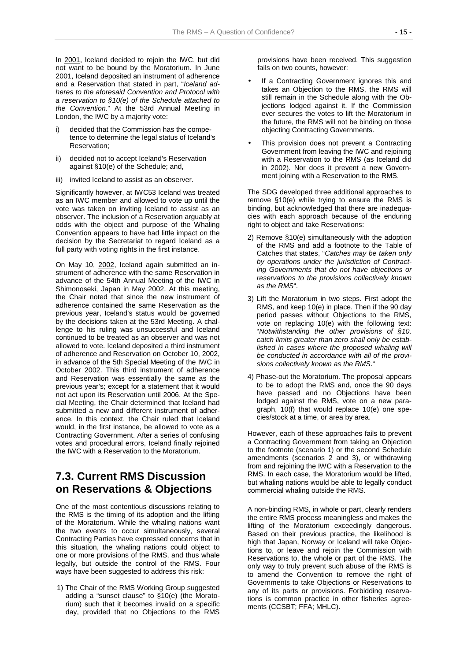In 2001, Iceland decided to rejoin the IWC, but did not want to be bound by the Moratorium. In June 2001, Iceland deposited an instrument of adherence and a Reservation that stated in part, "*Iceland adheres to the aforesaid Convention and Protocol with a reservation to §10(e) of the Schedule attached to the Convention*." At the 53rd Annual Meeting in London, the IWC by a majority vote:

- decided that the Commission has the competence to determine the legal status of Iceland's Reservation;
- ii) decided not to accept Iceland's Reservation against §10(e) of the Schedule; and,
- iii) invited Iceland to assist as an observer.

Significantly however, at IWC53 Iceland was treated as an IWC member and allowed to vote up until the vote was taken on inviting Iceland to assist as an observer. The inclusion of a Reservation arguably at odds with the object and purpose of the Whaling Convention appears to have had little impact on the decision by the Secretariat to regard Iceland as a full party with voting rights in the first instance.

On May 10, 2002, Iceland again submitted an instrument of adherence with the same Reservation in advance of the 54th Annual Meeting of the IWC in Shimonoseki, Japan in May 2002. At this meeting, the Chair noted that since the new instrument of adherence contained the same Reservation as the previous year, Iceland's status would be governed by the decisions taken at the 53rd Meeting. A challenge to his ruling was unsuccessful and Iceland continued to be treated as an observer and was not allowed to vote. Iceland deposited a third instrument of adherence and Reservation on October 10, 2002, in advance of the 5th Special Meeting of the IWC in October 2002. This third instrument of adherence and Reservation was essentially the same as the previous year's; except for a statement that it would not act upon its Reservation until 2006. At the Special Meeting, the Chair determined that Iceland had submitted a new and different instrument of adherence. In this context, the Chair ruled that Iceland would, in the first instance, be allowed to vote as a Contracting Government. After a series of confusing votes and procedural errors, Iceland finally rejoined the IWC with a Reservation to the Moratorium.

## **7.3. Current RMS Discussion on Reservations & Objections**

One of the most contentious discussions relating to the RMS is the timing of its adoption and the lifting of the Moratorium. While the whaling nations want the two events to occur simultaneously, several Contracting Parties have expressed concerns that in this situation, the whaling nations could object to one or more provisions of the RMS, and thus whale legally, but outside the control of the RMS. Four ways have been suggested to address this risk:

1) The Chair of the RMS Working Group suggested adding a "sunset clause" to §10(e) (the Moratorium) such that it becomes invalid on a specific day, provided that no Objections to the RMS provisions have been received. This suggestion fails on two counts, however:

- If a Contracting Government ignores this and takes an Objection to the RMS, the RMS will still remain in the Schedule along with the Objections lodged against it. If the Commission ever secures the votes to lift the Moratorium in the future, the RMS will not be binding on those objecting Contracting Governments.
- This provision does not prevent a Contracting Government from leaving the IWC and rejoining with a Reservation to the RMS (as Iceland did in 2002). Nor does it prevent a new Government joining with a Reservation to the RMS.

The SDG developed three additional approaches to remove §10(e) while trying to ensure the RMS is binding, but acknowledged that there are inadequacies with each approach because of the enduring right to object and take Reservations:

- 2) Remove §10(e) simultaneously with the adoption of the RMS and add a footnote to the Table of Catches that states, "*Catches may be taken only by operations under the jurisdiction of Contracting Governments that do not have objections or reservations to the provisions collectively known as the RMS*".
- 3) Lift the Moratorium in two steps. First adopt the RMS, and keep 10(e) in place. Then if the 90 day period passes without Objections to the RMS, vote on replacing 10(e) with the following text: "*Notwithstanding the other provisions of §10, catch limits greater than zero shall only be established in cases where the proposed whaling will be conducted in accordance with all of the provisions collectively known as the RMS*."
- 4) Phase-out the Moratorium. The proposal appears to be to adopt the RMS and, once the 90 days have passed and no Objections have been lodged against the RMS, vote on a new paragraph, 10(f) that would replace 10(e) one species/stock at a time, or area by area.

However, each of these approaches fails to prevent a Contracting Government from taking an Objection to the footnote (scenario 1) or the second Schedule amendments (scenarios 2 and 3), or withdrawing from and rejoining the IWC with a Reservation to the RMS. In each case, the Moratorium would be lifted, but whaling nations would be able to legally conduct commercial whaling outside the RMS.

A non-binding RMS, in whole or part, clearly renders the entire RMS process meaningless and makes the lifting of the Moratorium exceedingly dangerous. Based on their previous practice, the likelihood is high that Japan, Norway or Iceland will take Objections to, or leave and rejoin the Commission with Reservations to, the whole or part of the RMS. The only way to truly prevent such abuse of the RMS is to amend the Convention to remove the right of Governments to take Objections or Reservations to any of its parts or provisions. Forbidding reservations is common practice in other fisheries agreements (CCSBT; FFA; MHLC).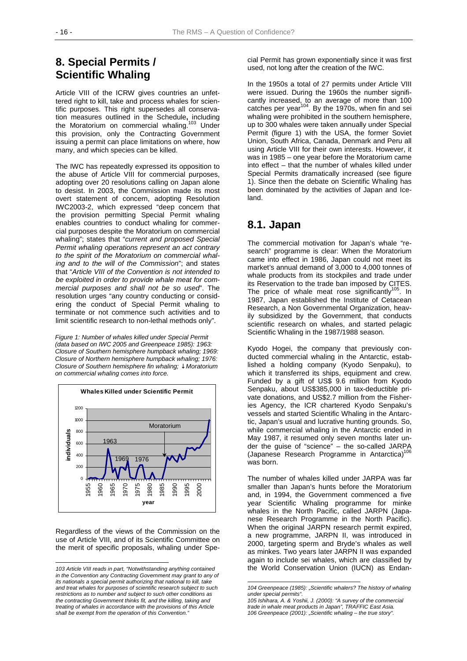## **8. Special Permits / Scientific Whaling**

Article VIII of the ICRW gives countries an unfettered right to kill, take and process whales for scientific purposes. This right supersedes all conservation measures outlined in the Schedule**,** including the Moratorium on commercial whaling.<sup>103</sup> Under this provision, only the Contracting Government issuing a permit can place limitations on where, how many, and which species can be killed.

The IWC has repeatedly expressed its opposition to the abuse of Article VIII for commercial purposes, adopting over 20 resolutions calling on Japan alone to desist. In 2003, the Commission made its most overt statement of concern, adopting Resolution IWC2003-2, which expressed "deep concern that the provision permitting Special Permit whaling enables countries to conduct whaling for commercial purposes despite the Moratorium on commercial whaling"; states that "*current and proposed Special Permit whaling operations represent an act contrary to the spirit of the Moratorium on commercial whaling and to the will of the Commission*"; and states that "*Article VIII of the Convention is not intended to be exploited in order to provide whale meat for commercial purposes and shall not be so used*". The resolution urges "any country conducting or considering the conduct of Special Permit whaling to terminate or not commence such activities and to limit scientific research to non-lethal methods only".

*Figure 1: Number of whales killed under Special Permit (data based on IWC 2005 and Greenpeace 1985): 1963: Closure of Southern hemisphere humpback whaling; 1969: Closure of Northern hemisphere humpback whaling; 1976: Closure of Southern hemisphere fin whaling;* ↓ *Moratorium on commercial whaling comes into force.*



Regardless of the views of the Commission on the use of Article VIII, and of its Scientific Committee on the merit of specific proposals, whaling under Spe-

l

cial Permit has grown exponentially since it was first used, not long after the creation of the IWC.

In the 1950s a total of 27 permits under Article VIII were issued. During the 1960s the number significantly increased, to an average of more than 100 catches per year $104$ . By the 1970s, when fin and sei whaling were prohibited in the southern hemisphere, up to 300 whales were taken annually under Special Permit (figure 1) with the USA, the former Soviet Union, South Africa, Canada, Denmark and Peru all using Article VIII for their own interests. However, it was in 1985 – one year before the Moratorium came into effect – that the number of whales killed under Special Permits dramatically increased (see figure 1). Since then the debate on Scientific Whaling has been dominated by the activities of Japan and Iceland.

## **8.1. Japan**

The commercial motivation for Japan's whale "research" programme is clear: When the Moratorium came into effect in 1986, Japan could not meet its market's annual demand of 3,000 to 4,000 tonnes of whale products from its stockpiles and trade under its Reservation to the trade ban imposed by CITES. The price of whale meat rose significantly $105$ . In 1987, Japan established the Institute of Cetacean Research, a Non Governmental Organization, heavily subsidized by the Government, that conducts scientific research on whales, and started pelagic Scientific Whaling in the 1987/1988 season.

Kyodo Hogei, the company that previously conducted commercial whaling in the Antarctic, established a holding company (Kyodo Senpaku), to which it transferred its ships, equipment and crew. Funded by a gift of US\$ 9.6 million from Kyodo Senpaku, about US\$385,000 in tax-deductible private donations, and US\$2.7 million from the Fisheries Agency, the ICR chartered Kyodo Senpaku's vessels and started Scientific Whaling in the Antarctic, Japan's usual and lucrative hunting grounds. So, while commercial whaling in the Antarctic ended in May 1987, it resumed only seven months later under the guise of "science" – the so-called JARPA (Japanese Research Programme in Antarctica)<sup>1</sup> was born.

The number of whales killed under JARPA was far smaller than Japan's hunts before the Moratorium and, in 1994, the Government commenced a five year Scientific Whaling programme for minke whales in the North Pacific, called JARPN (Japanese Research Programme in the North Pacific). When the original JARPN research permit expired, a new programme, JARPN II, was introduced in 2000, targeting sperm and Bryde's whales as well as minkes. Two years later JARPN II was expanded again to include sei whales, which are classified by the World Conservation Union (IUCN) as Endan-

*<sup>103</sup> Article VIII reads in part, "Notwithstanding anything contained in the Convention any Contracting Government may grant to any of its nationals a special permit authorizing that national to kill, take and treat whales for purposes of scientific research subject to such restrictions as to number and subject to such other conditions as the contracting Government thinks fit, and the killing, taking and treating of whales in accordance with the provisions of this Article shall be exempt from the operation of this Convention."* 

l *104 Greenpeace (1985): "Scientific whalers? The history of whaling under special permits".* 

*<sup>105</sup> Ishihara, A. & Yoshii, J. (2000): "A survey of the commercial trade in whale meat products in Japan", TRAFFIC East Asia. 106 Greenpeace (2001): "Scientific whaling – the true story".*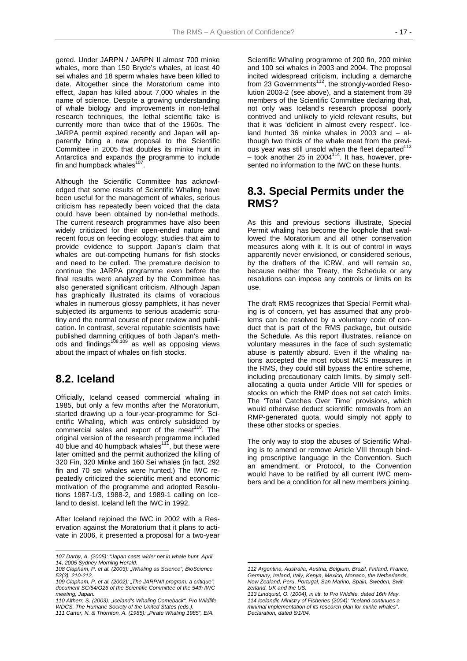gered. Under JARPN / JARPN II almost 700 minke whales, more than 150 Bryde's whales, at least 40 sei whales and 18 sperm whales have been killed to date. Altogether since the Moratorium came into effect, Japan has killed about 7,000 whales in the name of science. Despite a growing understanding of whale biology and improvements in non-lethal research techniques, the lethal scientific take is currently more than twice that of the 1960s. The JARPA permit expired recently and Japan will apparently bring a new proposal to the Scientific Committee in 2005 that doubles its minke hunt in Antarctica and expands the programme to include fin and humpback whales<sup>107</sup>.

Although the Scientific Committee has acknowledged that some results of Scientific Whaling have been useful for the management of whales, serious criticism has repeatedly been voiced that the data could have been obtained by non-lethal methods. The current research programmes have also been widely criticized for their open-ended nature and recent focus on feeding ecology; studies that aim to provide evidence to support Japan's claim that whales are out-competing humans for fish stocks and need to be culled. The premature decision to continue the JARPA programme even before the final results were analyzed by the Committee has also generated significant criticism. Although Japan has graphically illustrated its claims of voracious whales in numerous glossy pamphlets, it has never subjected its arguments to serious academic scrutiny and the normal course of peer review and publication. In contrast, several reputable scientists have published damning critiques of both Japan's meth- $\overline{\text{ods}}$  and findings $^{108,109}$  as well as opposing views about the impact of whales on fish stocks.

## **8.2. Iceland**

 $\overline{a}$ 

Officially, Iceland ceased commercial whaling in 1985, but only a few months after the Moratorium, started drawing up a four-year-programme for Scientific Whaling, which was entirely subsidized by commercial sales and export of the meat $110$ . The original version of the research programme included 40 blue and 40 humpback whales<sup>111</sup>, but these were later omitted and the permit authorized the killing of 320 Fin, 320 Minke and 160 Sei whales (in fact, 292 fin and 70 sei whales were hunted.) The IWC repeatedly criticized the scientific merit and economic motivation of the programme and adopted Resolutions 1987-1/3, 1988-2, and 1989-1 calling on Iceland to desist. Iceland left the IWC in 1992.

After Iceland rejoined the IWC in 2002 with a Reservation against the Moratorium that it plans to activate in 2006, it presented a proposal for a two-year

Scientific Whaling programme of 200 fin, 200 minke and 100 sei whales in 2003 and 2004. The proposal incited widespread criticism, including a demarche from 23 Governments<sup>112</sup>, the strongly-worded Resolution 2003-2 (see above), and a statement from 39 members of the Scientific Committee declaring that, not only was Iceland's research proposal poorly contrived and unlikely to yield relevant results, but that it was 'deficient in almost every respect'. Iceland hunted 36 minke whales in 2003 and – although two thirds of the whale meat from the previous year was still unsold when the fleet departed $113$  $-$  took another 25 in 2004 $114$ . It has, however, presented no information to the IWC on these hunts.

## **8.3. Special Permits under the RMS?**

As this and previous sections illustrate, Special Permit whaling has become the loophole that swallowed the Moratorium and all other conservation measures along with it. It is out of control in ways apparently never envisioned, or considered serious, by the drafters of the ICRW, and will remain so, because neither the Treaty, the Schedule or any resolutions can impose any controls or limits on its use.

The draft RMS recognizes that Special Permit whaling is of concern, yet has assumed that any problems can be resolved by a voluntary code of conduct that is part of the RMS package, but outside the Schedule. As this report illustrates, reliance on voluntary measures in the face of such systematic abuse is patently absurd. Even if the whaling nations accepted the most robust MCS measures in the RMS, they could still bypass the entire scheme, including precautionary catch limits, by simply selfallocating a quota under Article VIII for species or stocks on which the RMP does not set catch limits. The 'Total Catches Over Time' provisions, which would otherwise deduct scientific removals from an RMP-generated quota, would simply not apply to these other stocks or species.

The only way to stop the abuses of Scientific Whaling is to amend or remove Article VIII through binding proscriptive language in the Convention. Such an amendment, or Protocol, to the Convention would have to be ratified by all current IWC members and be a condition for all new members joining.

l

*<sup>107</sup> Darby, A. (2005): "Japan casts wider net in whale hunt. April 14, 2005 Sydney Morning Herald.* 

*<sup>108</sup> Clapham, P. et al. (2003): "Whaling as Science", BioScience 53(3), 210-212.* 

*<sup>109</sup> Clapham, P. et al. (2002): "The JARPNII program: a critique", document SC/54/O26 of the Scientific Committee of the 54th IWC meeting, Japan.* 

*<sup>110</sup> Altherr, S. (2003): "Iceland's Whaling Comeback", Pro Wildlife, WDCS, The Humane Society of the United States (eds.).* 

*<sup>111</sup> Carter, N. & Thornton, A. (1985): "Pirate Whaling 1985", EIA.* 

*<sup>112</sup> Argentina, Australia, Austria, Belgium, Brazil, Finland, France, Germany, Ireland, Italy, Kenya, Mexico, Monaco, the Netherlands, New Zealand, Peru, Portugal, San Marino, Spain, Sweden, Switzerland, UK and the US.* 

*<sup>113</sup> Lindquist, O. (2004), in litt. to Pro Wildlife, dated 16th May. 114 Icelandic Ministry of Fisheries (2004): "Iceland continues a minimal implementation of its research plan for minke whales", Declaration, dated 6/1/04.*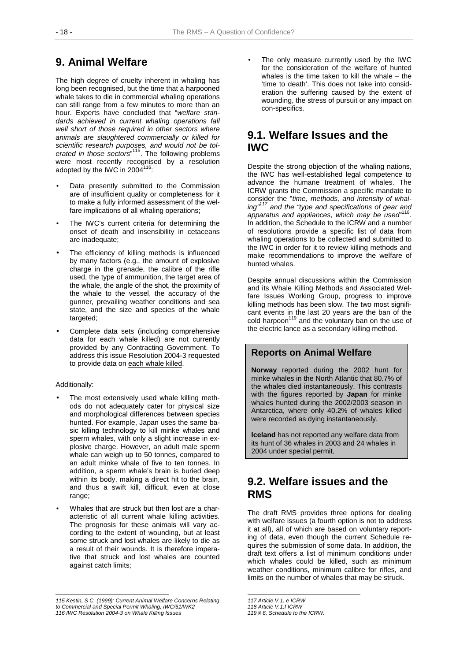## **9. Animal Welfare**

The high degree of cruelty inherent in whaling has long been recognised, but the time that a harpooned whale takes to die in commercial whaling operations can still range from a few minutes to more than an hour. Experts have concluded that "*welfare standards achieved in current whaling operations fall well short of those required in other sectors where animals are slaughtered commercially or killed for scientific research purposes, and would not be tolerated in those sectors*" 115. The following problems were most recently recognised by a resolution adopted by the IWC in 2004 $116$ :

- Data presently submitted to the Commission are of insufficient quality or completeness for it to make a fully informed assessment of the welfare implications of all whaling operations;
- The IWC's current criteria for determining the onset of death and insensibility in cetaceans are inadequate;
- The efficiency of killing methods is influenced by many factors (e.g., the amount of explosive charge in the grenade, the calibre of the rifle used, the type of ammunition, the target area of the whale, the angle of the shot, the proximity of the whale to the vessel, the accuracy of the gunner, prevailing weather conditions and sea state, and the size and species of the whale targeted;
- Complete data sets (including comprehensive data for each whale killed) are not currently provided by any Contracting Government. To address this issue Resolution 2004-3 requested to provide data on each whale killed.

#### Additionally:

 $\overline{a}$ 

- The most extensively used whale killing methods do not adequately cater for physical size and morphological differences between species hunted. For example, Japan uses the same basic killing technology to kill minke whales and sperm whales, with only a slight increase in explosive charge. However, an adult male sperm whale can weigh up to 50 tonnes, compared to an adult minke whale of five to ten tonnes. In addition, a sperm whale's brain is buried deep within its body, making a direct hit to the brain, and thus a swift kill, difficult, even at close range;
- Whales that are struck but then lost are a characteristic of all current whale killing activities. The prognosis for these animals will vary according to the extent of wounding, but at least some struck and lost whales are likely to die as a result of their wounds. It is therefore imperative that struck and lost whales are counted against catch limits;

The only measure currently used by the IWC for the consideration of the welfare of hunted whales is the time taken to kill the whale  $-$  the 'time to death'. This does not take into consideration the suffering caused by the extent of wounding, the stress of pursuit or any impact on con-specifics.

## **9.1. Welfare Issues and the IWC**

Despite the strong objection of the whaling nations, the IWC has well-established legal competence to advance the humane treatment of whales. The ICRW grants the Commission a specific mandate to consider the "*time, methods, and intensity of whaling"117 and the "type and specifications of gear and apparatus and appliances, which may be used*" 118. In addition, the Schedule to the ICRW and a number of resolutions provide a specific list of data from whaling operations to be collected and submitted to the IWC in order for it to review killing methods and make recommendations to improve the welfare of hunted whales.

Despite annual discussions within the Commission and its Whale Killing Methods and Associated Welfare Issues Working Group, progress to improve killing methods has been slow. The two most significant events in the last 20 years are the ban of the cold harpoon<sup>119</sup> and the voluntary ban on the use of the electric lance as a secondary killing method.

#### **Reports on Animal Welfare**

**Norway** reported during the 2002 hunt for minke whales in the North Atlantic that 80.7% of the whales died instantaneously. This contrasts with the figures reported by **Japan** for minke whales hunted during the 2002/2003 season in Antarctica, where only 40.2% of whales killed were recorded as dying instantaneously.

**Iceland** has not reported any welfare data from its hunt of 36 whales in 2003 and 24 whales in 2004 under special permit.

## **9.2. Welfare issues and the RMS**

The draft RMS provides three options for dealing with welfare issues (a fourth option is not to address it at all), all of which are based on voluntary reporting of data, even though the current Schedule requires the submission of some data. In addition, the draft text offers a list of minimum conditions under which whales could be killed, such as minimum weather conditions, minimum calibre for rifles, and limits on the number of whales that may be struck.

*<sup>115</sup> Kestin, S C. (1999): Current Animal Welfare Concerns Relating to Commercial and Special Permit Whaling, IWC/51/WK2 116 IWC Resolution 2004-3 on Whale Killing Issues* 

*<sup>117</sup> Article V.1. e ICRW* 

*<sup>118</sup> Article V.1.f ICRW 119 § 6, Schedule to the ICRW.*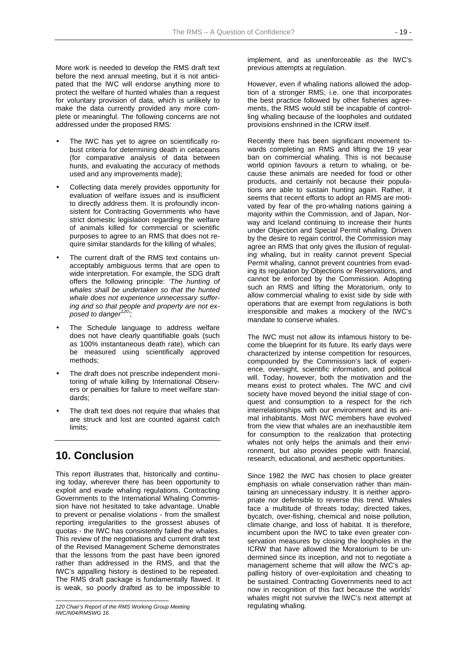More work is needed to develop the RMS draft text before the next annual meeting, but it is not anticipated that the IWC will endorse anything more to protect the welfare of hunted whales than a request for voluntary provision of data, which is unlikely to make the data currently provided any more complete or meaningful. The following concerns are not addressed under the proposed RMS:

- The IWC has yet to agree on scientifically robust criteria for determining death in cetaceans (for comparative analysis of data between hunts, and evaluating the accuracy of methods used and any improvements made);
- Collecting data merely provides opportunity for evaluation of welfare issues and is insufficient to directly address them. It is profoundly inconsistent for Contracting Governments who have strict domestic legislation regarding the welfare of animals killed for commercial or scientific purposes to agree to an RMS that does not require similar standards for the killing of whales;
- The current draft of the RMS text contains unacceptably ambiguous terms that are open to wide interpretation. For example, the SDG draft offers the following principle: *'The hunting of whales shall be undertaken so that the hunted whale does not experience unnecessary suffering and so that people and property are not exposed to danger120';*
- The Schedule language to address welfare does not have clearly quantifiable goals (such as 100% instantaneous death rate), which can be measured using scientifically approved methods;
- The draft does not prescribe independent monitoring of whale killing by International Observers or penalties for failure to meet welfare standards;
- The draft text does not require that whales that are struck and lost are counted against catch limits:

## **10. Conclusion**

This report illustrates that, historically and continuing today, wherever there has been opportunity to exploit and evade whaling regulations, Contracting Governments to the International Whaling Commission have not hesitated to take advantage. Unable to prevent or penalise violations - from the smallest reporting irregularities to the grossest abuses of quotas - the IWC has consistently failed the whales. This review of the negotiations and current draft text of the Revised Management Scheme demonstrates that the lessons from the past have been ignored rather than addressed in the RMS, and that the IWC's appalling history is destined to be repeated. The RMS draft package is fundamentally flawed. It is weak, so poorly drafted as to be impossible to

implement, and as unenforceable as the IWC's previous attempts at regulation.

However, even if whaling nations allowed the adoption of a stronger RMS; i.e. one that incorporates the best practice followed by other fisheries agreements, the RMS would still be incapable of controlling whaling because of the loopholes and outdated provisions enshrined in the ICRW itself.

Recently there has been significant movement towards completing an RMS and lifting the 19 year ban on commercial whaling. This is not because world opinion favours a return to whaling, or because these animals are needed for food or other products, and certainly not because their populations are able to sustain hunting again. Rather, it seems that recent efforts to adopt an RMS are motivated by fear of the pro-whaling nations gaining a majority within the Commission, and of Japan, Norway and Iceland continuing to increase their hunts under Objection and Special Permit whaling. Driven by the desire to regain control, the Commission may agree an RMS that only gives the illusion of regulating whaling, but in reality cannot prevent Special Permit whaling, cannot prevent countries from evading its regulation by Objections or Reservations, and cannot be enforced by the Commission. Adopting such an RMS and lifting the Moratorium, only to allow commercial whaling to exist side by side with operations that are exempt from regulations is both irresponsible and makes a mockery of the IWC's mandate to conserve whales.

The IWC must not allow its infamous history to become the blueprint for its future. Its early days were characterized by intense competition for resources, compounded by the Commission's lack of experience, oversight, scientific information, and political will. Today, however, both the motivation and the means exist to protect whales. The IWC and civil society have moved beyond the initial stage of conquest and consumption to a respect for the rich interrelationships with our environment and its animal inhabitants. Most IWC members have evolved from the view that whales are an inexhaustible item for consumption to the realization that protecting whales not only helps the animals and their environment, but also provides people with financial, research, educational, and aesthetic opportunities.

Since 1982 the IWC has chosen to place greater emphasis on whale conservation rather than maintaining an unnecessary industry. It is neither appropriate nor defensible to reverse this trend. Whales face a multitude of threats today; directed takes, bycatch, over-fishing, chemical and noise pollution, climate change, and loss of habitat. It is therefore, incumbent upon the IWC to take even greater conservation measures by closing the loopholes in the ICRW that have allowed the Moratorium to be undermined since its inception, and not to negotiate a management scheme that will allow the IWC's appalling history of over-exploitation and cheating to be sustained. Contracting Governments need to act now in recognition of this fact because the worlds' whales might not survive the IWC's next attempt at regulating whaling.

l *120 Chair's Report of the RMS Working Group Meeting IWC/N04/RMSWG 16*